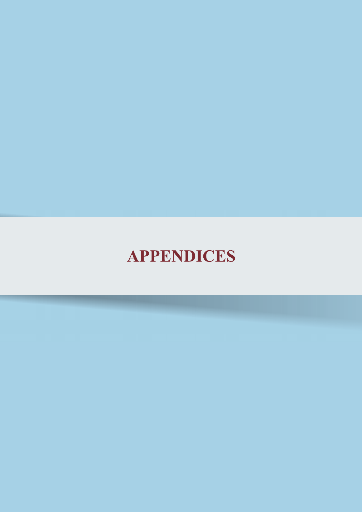# **APPENDICES**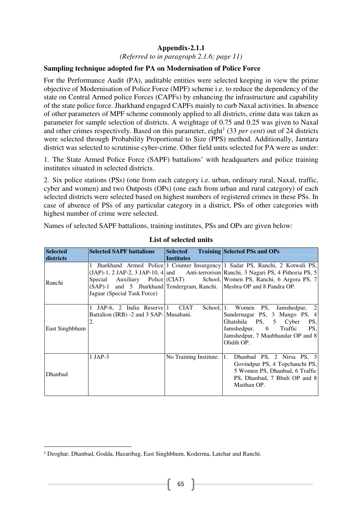*(Referred to in paragraph 2.1.6; page 11)*

#### **Sampling technique adopted for PA on Modernisation of Police Force**

For the Performance Audit (PA), auditable entities were selected keeping in view the prime objective of Modernisation of Police Force (MPF) scheme i.e. to reduce the dependency of the state on Central Armed police Forces (CAPFs) by enhancing the infrastructure and capability of the state police force. Jharkhand engaged CAPFs mainly to curb Naxal activities. In absence of other parameters of MPF scheme commonly applied to all districts, crime data was taken as parameter for sample selection of districts. A weightage of 0.75 and 0.25 was given to Naxal and other crimes respectively. Based on this parameter, eight<sup>1</sup> (33 *per cent*) out of 24 districts were selected through Probability Proportional to Size (PPS) method. Additionally, Jamtara district was selected to scrutinise cyber-crime. Other field units selected for PA were as under:

1. The State Armed Police Force (SAPF) battalions' with headquarters and police training institutes situated in selected districts.

2. Six police stations (PSs) (one from each category i.e. urban, ordinary rural, Naxal, traffic, cyber and women) and two Outposts (OPs) (one each from urban and rural category) of each selected districts were selected based on highest numbers of registered crimes in these PSs. In case of absence of PSs of any particular category in a district, PSs of other categories with highest number of crime were selected.

Names of selected SAPF battalions, training institutes, PSs and OPs are given below:

| <b>Selected</b><br>districts | <b>Selected SAPF battalions</b>                                                                       | <b>Selected</b><br><b>Institutes</b> | <b>Training Selected PSs and OPs</b>                                                                                                                                                                                                                  |
|------------------------------|-------------------------------------------------------------------------------------------------------|--------------------------------------|-------------------------------------------------------------------------------------------------------------------------------------------------------------------------------------------------------------------------------------------------------|
| Ranchi                       | (SAP)-1 and 5 Jharkhand Tendergram, Ranchi. Meshra OP and 8 Pandra OP.<br>Jaguar (Special Task Force) |                                      | 1 Jharkhand Armed Police 1 Counter Insurgency 1 Sadar PS, Ranchi, 2 Kotwali PS,<br>(JAP)-1, 2 JAP-2, 3 JAP-10, 4 and Anti-terrorism Ranchi, 3 Nagari PS, 4 Pithoria PS, 5<br>Special Auxiliary Police (CIAT) School, Women PS, Ranchi, 6 Argora PS, 7 |
| East Singhbhum               | 1 JAP-6, 2 India Reserve 1 CIAT<br>Battalion (IRB) -2 and 3 SAP- Musabani.<br>2.                      |                                      | School, 1. Women PS, Jamshedpur, 2<br>Sundernagar PS, 3 Mango PS, 4<br>Ghatshila PS, 5 Cyber<br>PS,<br>Jamshedpur, 6<br>Traffic<br>PS,<br>Jamshedpur, 7 Maubhandar OP and 8<br>Olidih OP.                                                             |
| Dhanbad                      | $1$ JAP-3                                                                                             | No Training Institute.               | 1.<br>Dhanbad PS, 2 Nirsa PS, 3<br>Govindpur PS, 4 Topchanchi PS,<br>5 Women PS, Dhanbad, 6 Traffic<br>PS, Dhanbad, 7 Bhuli OP and 8<br>Maithan OP.                                                                                                   |

#### **List of selected units**

I

 $\overline{a}$ 

<sup>&</sup>lt;sup>1</sup> Deoghar, Dhanbad, Godda, Hazaribag, East Singhbhum, Koderma, Latehar and Ranchi.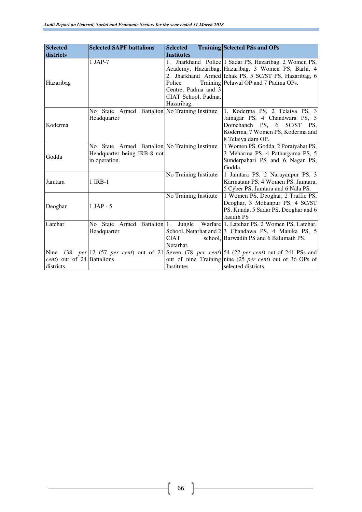| <b>Selected</b>                                         | <b>Selected SAPF battalions</b>                                                                | <b>Selected</b>                                                                   | <b>Training Selected PSs and OPs</b>                                                                                                                                                                        |
|---------------------------------------------------------|------------------------------------------------------------------------------------------------|-----------------------------------------------------------------------------------|-------------------------------------------------------------------------------------------------------------------------------------------------------------------------------------------------------------|
| districts                                               |                                                                                                | <b>Institutes</b>                                                                 |                                                                                                                                                                                                             |
| Hazaribag                                               | $1$ JAP-7                                                                                      | $1_{\cdot}$<br>Police<br>Centre, Padma and 3<br>CIAT School, Padma,<br>Hazaribag. | Jharkhand Police 1 Sadar PS, Hazaribag, 2 Women PS,<br>Academy, Hazaribag, Hazaribag, 3 Women PS, Barhi, 4<br>2. Jharkhand Armed Ichak PS, 5 SC/ST PS, Hazaribag, 6<br>Training Pelawal OP and 7 Padma OPs. |
| Koderma                                                 | No State Armed Battalion No Training Institute<br>Headquarter                                  |                                                                                   | 1. Koderma PS, 2 Telaiya PS, 3<br>Jainagar PS, 4 Chandwara PS, 5<br>Domchanch PS, 6<br>SC/ST PS,<br>Koderma, 7 Women PS, Koderma and<br>8 Telaiya dam OP.                                                   |
| Godda                                                   | No State Armed Battalion No Training Institute<br>Headquarter being IRB-8 not<br>in operation. |                                                                                   | 1 Women PS, Godda, 2 Poraiyahat PS,<br>3 Meharma PS, 4 Pathargama PS, 5<br>Sunderpahari PS and 6 Nagar PS,<br>Godda.                                                                                        |
| Jamtara                                                 | 1 IRB-1                                                                                        | No Training Institute                                                             | 1 Jamtara PS, 2 Narayanpur PS, 3<br>Karmatanr PS, 4 Women PS, Jamtara,<br>5 Cyber PS, Jamtara and 6 Nala PS.                                                                                                |
| Deoghar                                                 | $1$ JAP - 5                                                                                    | No Training Institute                                                             | 1 Women PS, Deoghar, 2 Traffic PS,<br>Deoghar, 3 Mohanpur PS, 4 SC/ST<br>PS, Kunda, 5 Sadar PS, Deoghar and 6<br>Jasidih PS                                                                                 |
| Latehar                                                 | No State Armed Battalion 1.<br>Headquarter                                                     | Jungle<br><b>CIAT</b><br>Netarhat.                                                | Warfare 1. Latehar PS, 2 Women PS, Latehar,<br>School, Netarhat and $2 3$ Chandawa PS, 4 Manika PS, 5<br>school, Barwadih PS and 6 Balumath PS.                                                             |
| Nine<br><i>cent</i> ) out of 24 Battalions<br>districts |                                                                                                | Institutes                                                                        | $(38$ per $ 12 \t(57$ per cent) out of 21 Seven $(78$ per cent) 54 (22 per cent) out of 241 PSs and<br>out of nine Training nine (25 <i>per cent</i> ) out of 36 OPs of<br>selected districts.              |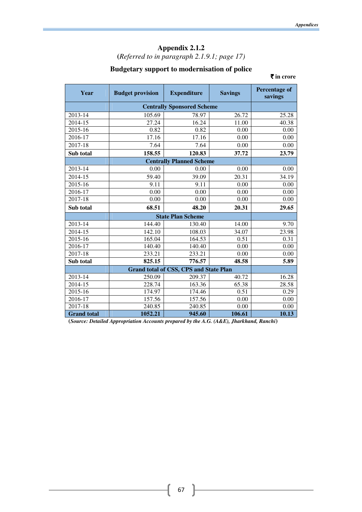**(***Referred to in paragraph 2.1.9.1; page 17)*

# **Budgetary support to modernisation of police**

` **in crore** 

| Year               | <b>Budget provision</b> | <b>Expenditure</b>                            | <b>Savings</b> | <b>Percentage of</b><br>savings |
|--------------------|-------------------------|-----------------------------------------------|----------------|---------------------------------|
|                    |                         | <b>Centrally Sponsored Scheme</b>             |                |                                 |
| 2013-14            | 105.69                  | 78.97                                         | 26.72          | 25.28                           |
| 2014-15            | $\overline{27.24}$      | 16.24                                         | 11.00          | 40.38                           |
| 2015-16            | 0.82                    | 0.82                                          | 0.00           | 0.00                            |
| 2016-17            | 17.16                   | 17.16                                         | 0.00           | 0.00                            |
| 2017-18            | 7.64                    | 7.64                                          | 0.00           | 0.00                            |
| Sub total          | 158.55                  | 120.83                                        | 37.72          | 23.79                           |
|                    |                         | <b>Centrally Planned Scheme</b>               |                |                                 |
| 2013-14            | 0.00                    | 0.00                                          | 0.00           | 0.00                            |
| 2014-15            | 59.40                   | 39.09                                         | 20.31          | 34.19                           |
| 2015-16            | 9.11                    | 9.11                                          | 0.00           | 0.00                            |
| 2016-17            | 0.00                    | 0.00                                          | 0.00           | 0.00                            |
| 2017-18            | 0.00                    | 0.00                                          | 0.00           | 0.00                            |
| Sub total          | 68.51                   | 48.20                                         | 20.31          | 29.65                           |
|                    |                         | <b>State Plan Scheme</b>                      |                |                                 |
| 2013-14            | 144.40                  | 130.40                                        | 14.00          | 9.70                            |
| 2014-15            | 142.10                  | 108.03                                        | 34.07          | 23.98                           |
| 2015-16            | 165.04                  | 164.53                                        | 0.51           | 0.31                            |
| 2016-17            | 140.40                  | 140.40                                        | 0.00           | 0.00                            |
| 2017-18            | 233.21                  | 233.21                                        | 0.00           | 0.00                            |
| Sub total          | 825.15                  | 776.57                                        | 48.58          | 5.89                            |
|                    |                         | <b>Grand total of CSS, CPS and State Plan</b> |                |                                 |
| 2013-14            | 250.09                  | 209.37                                        | 40.72          | 16.28                           |
| 2014-15            | 228.74                  | 163.36                                        | 65.38          | 28.58                           |
| 2015-16            | 174.97                  | 174.46                                        | 0.51           | 0.29                            |
| 2016-17            | 157.56                  | 157.56                                        | 0.00           | 0.00                            |
| 2017-18            | 240.85                  | 240.85                                        | 0.00           | 0.00                            |
| <b>Grand</b> total | 1052.21                 | 945.60                                        | 106.61         | 10.13                           |

**(***Source: Detailed Appropriation Accounts prepared by the A.G. (A&E), Jharkhand, Ranchi***)**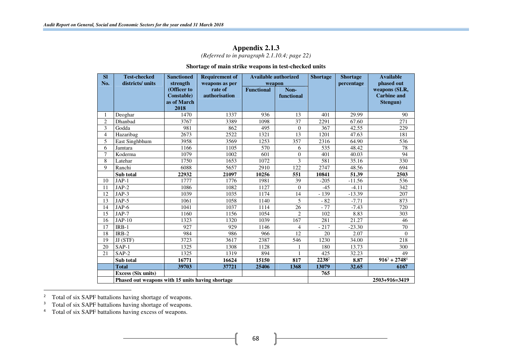*(Referred to in paragraph 2.1.10.4; page 22)* 

#### **Shortage of main strike weapons in test-checked units**

| <b>SI</b>      | <b>Test-checked</b>                              | <b>Sanctioned</b>   | <b>Requirement of</b> | <b>Available authorized</b> |                | <b>Shortage</b> | <b>Shortage</b>    | <b>Available</b>   |
|----------------|--------------------------------------------------|---------------------|-----------------------|-----------------------------|----------------|-----------------|--------------------|--------------------|
| No.            | districts/ units                                 | strength            | weapons as per        | weapon                      |                |                 | percentage         | phased out         |
|                |                                                  | (Officer to         | rate of               | <b>Functional</b>           | Non-           |                 |                    | weapons (SLR,      |
|                |                                                  | <b>Constable</b> )  | authorisation         |                             | functional     |                 |                    | <b>Carbine and</b> |
|                |                                                  | as of March<br>2018 |                       |                             |                |                 |                    | Stengun)           |
|                | Deoghar                                          | 1470                | 1337                  | 936                         | 13             | 401             | 29.99              | 90                 |
| $\overline{2}$ | Dhanbad                                          | 3767                | 3389                  | 1098                        | 37             | 2291            | 67.60              | 271                |
| 3              | Godda                                            | 981                 | 862                   | 495                         | $\theta$       | 367             | 42.55              | 229                |
| 4              | Hazaribag                                        | 2673                | 2522                  | 1321                        | 13             | 1201            | 47.63              | 181                |
| 5              | East Singhbhum                                   | 3958                | 3569                  | 1253                        | 357            | 2316            | 64.90              | 536                |
| 6              | Jamtara                                          | 1166                | 1105                  | 570                         | 6              | 535             | 48.42              | 78                 |
| 7              | Koderma                                          | 1079                | 1002                  | 601                         | $\theta$       | 401             | 40.03              | 94                 |
| 8              | Latehar                                          | 1750                | 1653                  | 1072                        | 3              | 581             | 35.16              | 330                |
| 9              | Ranchi                                           | 6088                | 5657                  | 2910                        | 122            | 2747            | 48.56              | 694                |
|                | Sub total                                        | 22932               | 21097                 | 10256                       | 551            | 10841           | 51.39              | 2503               |
| 10             | $JAP-1$                                          | 1777                | 1776                  | 1981                        | 39             | $-205$          | $-11.56$           | 536                |
| 11             | $JAP-2$                                          | 1086                | 1082                  | 1127                        | $\Omega$       | $-45$           | $-4.11$            | 342                |
| 12             | JAP-3                                            | 1039                | 1035                  | 1174                        | 14             | $-139$          | $-13.39$           | 207                |
| 13             | JAP-5                                            | 1061                | 1058                  | 1140                        | 5              | $-82$           | $-7.71$            | 873                |
| 14             | $JAP-6$                                          | 1041                | 1037                  | 1114                        | 26             | $-77$           | $-7.43$            | 720                |
| 15             | JAP-7                                            | 1160                | 1156                  | 1054                        | $\overline{c}$ | 102             | 8.83               | 303                |
| 16             | $JAP-10$                                         | 1323                | 1320                  | 1039                        | 167            | 281             | 21.27              | 46                 |
| 17             | $IRB-1$                                          | 927                 | 929                   | 1146                        | $\overline{4}$ | $-217$          | $-23.30$           | 70                 |
| 18             | $IRB-2$                                          | 984                 | 986                   | 966                         | 12             | 20              | 2.07               | $\Omega$           |
| 19             | JJ (STF)                                         | 3723                | 3617                  | 2387                        | 546            | 1230            | $\overline{34.00}$ | 218                |
| 20             | $SAP-1$                                          | 1325                | 1308                  | 1128                        |                | 180             | 13.73              | 300                |
| 21             | $SAP-2$                                          | 1325                | 1319                  | 894                         | $\mathbf{1}$   | 425             | 32.23              | 49                 |
|                | Sub total                                        | 16771               | 16624                 | 15150                       | 817            | 22382           | 8.87               | $916^3 + 2748^4$   |
|                | <b>Total</b>                                     | 39703               | 37721                 | 25406                       | 1368           | 13079           | 32.65              | 6167               |
|                | <b>Excess (Six units)</b>                        |                     |                       |                             |                | 765             |                    |                    |
|                | Phased out weapons with 15 units having shortage |                     |                       |                             |                |                 |                    | 2503+916=3419      |

<sup>&</sup>lt;sup>2</sup> Total of six SAPF battalions having shortage of weapons.

<sup>&</sup>lt;sup>3</sup> Total of six SAPF battalions having shortage of weapons. 3

<sup>&</sup>lt;sup>4</sup> Total of six SAPF battalions having excess of weapons.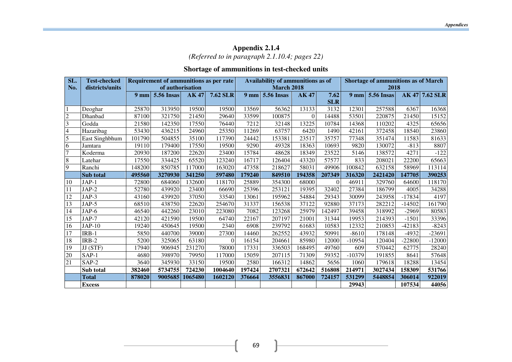# **Appendix 2.1.4**  *(Referred to in paragraph 2.1.10.4; pages 22)*

#### **Shortage of ammunitions in test-checked units**

| SL.            | <b>Test-checked</b> | Requirement of ammunitions as per rate |                   |         |                 |                 | Availability of ammunitions as of |             |            |                 | <b>Shortage of ammunitions as of March</b> |          |                |  |
|----------------|---------------------|----------------------------------------|-------------------|---------|-----------------|-----------------|-----------------------------------|-------------|------------|-----------------|--------------------------------------------|----------|----------------|--|
| No.            | districts/units     |                                        | of authorisation  |         |                 |                 | March 2018                        |             |            |                 | 2018                                       |          |                |  |
|                |                     | 9 <sub>mm</sub>                        | <b>5.56 Insas</b> | AK 47   | <b>7.62 SLR</b> | 9 <sub>mm</sub> | <b>5.56 Insas</b>                 | <b>AK47</b> | 7.62       | 9 <sub>mm</sub> | <b>5.56 Insas</b>                          |          | AK 47 7.62 SLR |  |
|                |                     |                                        |                   |         |                 |                 |                                   |             | <b>SLR</b> |                 |                                            |          |                |  |
|                | Deoghar             | 25870                                  | 313950            | 19500   | 19500           | 13569           | 56362                             | 13133       | 3132       | 12301           | 257588                                     | 6367     | 16368          |  |
| $\overline{2}$ | Dhanbad             | 87100                                  | 321750            | 21450   | 29640           | 33599           | 100875                            | $\theta$    | 14488      | 53501           | 220875                                     | 21450    | 15152          |  |
| 3              | Godda               | 21580                                  | 142350            | 17550   | 76440           | 7212            | 32148                             | 13225       | 10784      | 14368           | 110202                                     | 4325     | 65656          |  |
| 4              | Hazaribag           | 53430                                  | 436215            | 24960   | 25350           | 11269           | 63757                             | 6420        | 1490       | 42161           | 372458                                     | 18540    | 23860          |  |
| 5              | East Singhbhum      | 101790                                 | 504855            | 35100   | 117390          | 24442           | 153381                            | 23517       | 35757      | 77348           | 351474                                     | 11583    | 81633          |  |
| 6              | Jamtara             | 19110                                  | 179400            | 17550   | 19500           | 9290            | 49328                             | 18363       | 10693      | 9820            | 130072                                     | $-813$   | 8807           |  |
|                | Koderma             | 20930                                  | 187200            | 22620   | 23400           | 15784           | 48628                             | 18349       | 23522      | 5146            | 138572                                     | 4271     | $-122$         |  |
| 8              | Latehar             | 17550                                  | 334425            | 65520   | 123240          | 16717           | 126404                            | 43320       | 57577      | 833             | 208021                                     | 22200    | 65663          |  |
| 9              | Ranchi              | 148200                                 | 850785            | 117000  | 163020          | 47358           | 218627                            | 58031       | 49906      | 100842          | 632158                                     | 58969    | 113114         |  |
|                | Sub total           | 495560                                 | 3270930           | 341250  | 597480          | 179240          | 849510                            | 194358      | 207349     | 316320          | 2421420                                    | 147705   | 390253         |  |
| 10             | $JAP-1$             | 72800                                  | 684060            | 132600  | 118170          | 25889           | 354300                            | 68000       | $\Omega$   | 46911           | 329760                                     | 64600    | 118170         |  |
| 11             | JAP-2               | 52780                                  | 439920            | 23400   | 66690           | 25396           | 253121                            | 19395       | 32402      | 27384           | 186799                                     | 4005     | 34288          |  |
| 12             | JAP-3               | 43160                                  | 439920            | 37050   | 33540           | 13061           | 195962                            | 54884       | 29343      | 30099           | 243958                                     | $-17834$ | 4197           |  |
| 13             | JAP-5               | 68510                                  | 438750            | 22620   | 254670          | 31337           | 156538                            | 37122       | 92880      | 37173           | 282212                                     | $-14502$ | 161790         |  |
| 14             | JAP-6               | 46540                                  | 442260            | 23010   | 223080          | 7082            | 123268                            | 25979       | 142497     | 39458           | 318992                                     | $-2969$  | 80583          |  |
| 15             | $JAP-7$             | 42120                                  | 421590            | 19500   | 64740           | 22167           | 207197                            | 21001       | 31344      | 19953           | 214393                                     | $-1501$  | 33396          |  |
| 16             | $JAP-10$            | 19240                                  | 450645            | 19500   | 2340            | 6908            | 239792                            | 61683       | 10583      | 12332           | 210853                                     | -42183   | $-8243$        |  |
| 17             | $IRB-1$             | 5850                                   | 440700            | 39000   | 27300           | 14460           | 262552                            | 43932       | 50991      | $-8610$         | 178148                                     | $-4932$  | $-23691$       |  |
| 18             | IRB-2               | 5200                                   | 325065            | 63180   | $\Omega$        | 16154           | 204661                            | 85980       | 12000      | $-10954$        | 120404                                     | $-22800$ | $-12000$       |  |
| 19             | JJ (STF)            | 17940                                  | 906945            | 231270  | 78000           | 17331           | 336503                            | 168495      | 49760      | 609             | 570442                                     | 62775    | 28240          |  |
| 20             | SAP-1               | 4680                                   | 398970            | 79950   | 117000          | 15059           | 207115                            | 71309       | 59352      | $-10379$        | 191855                                     | 8641     | 57648          |  |
| 21             | $SAP-2$             | 3640                                   | 345930            | 33150   | 19500           | 2580            | 166312                            | 14862       | 5656       | 1060            | 179618                                     | 18288    | 13454          |  |
|                | Sub total           | 382460                                 | 5734755           | 724230  | 1004640         | 197424          | 2707321                           | 672642      | 516808     | 214971          | 3027434                                    | 158309   | 531766         |  |
|                | Total               | 878020                                 | 9005685           | 1065480 | 1602120         | 376664          | 3556831                           | 867000      | 724157     | 531299          | 5448854                                    | 306014   | 922019         |  |
|                | <b>Excess</b>       |                                        |                   |         |                 |                 |                                   |             |            | 29943           |                                            | 107534   | 44056          |  |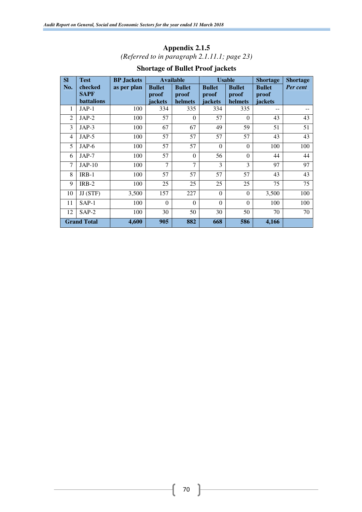# **Appendix 2.1.5**  *(Referred to in paragraph 2.1.11.1; page 23)*

| <b>SI</b>      | <b>Test</b>                          | <b>BP</b> Jackets |                                   | <b>Available</b>                  |                                   | <b>Usable</b>                     | <b>Shortage</b>                   | <b>Shortage</b> |
|----------------|--------------------------------------|-------------------|-----------------------------------|-----------------------------------|-----------------------------------|-----------------------------------|-----------------------------------|-----------------|
| No.            | checked<br><b>SAPF</b><br>battalions | as per plan       | <b>Bullet</b><br>proof<br>jackets | <b>Bullet</b><br>proof<br>helmets | <b>Bullet</b><br>proof<br>jackets | <b>Bullet</b><br>proof<br>helmets | <b>Bullet</b><br>proof<br>jackets | Per cent        |
| 1              | $JAP-1$                              | 100               | 334                               | 335                               | 334                               | 335                               | --                                |                 |
| $\overline{2}$ | $JAP-2$                              | 100               | 57                                | $\theta$                          | 57                                | $\Omega$                          | 43                                | 43              |
| 3              | $JAP-3$                              | 100               | 67                                | 67                                | 49                                | 59                                | 51                                | 51              |
| 4              | $JAP-5$                              | 100               | 57                                | 57                                | 57                                | 57                                | 43                                | 43              |
| 5              | $JAP-6$                              | 100               | 57                                | 57                                | $\theta$                          | $\Omega$                          | 100                               | 100             |
| 6              | $JAP-7$                              | 100               | 57                                | $\Omega$                          | 56                                | $\Omega$                          | 44                                | 44              |
| 7              | $JAP-10$                             | 100               | 7                                 | $\overline{7}$                    | 3                                 | 3                                 | 97                                | 97              |
| 8              | $IRB-1$                              | 100               | 57                                | 57                                | 57                                | 57                                | 43                                | 43              |
| 9              | $IRB-2$                              | 100               | 25                                | 25                                | 25                                | 25                                | 75                                | 75              |
| 10             | JJ (STF)                             | 3,500             | 157                               | 227                               | $\Omega$                          | $\Omega$                          | 3,500                             | 100             |
| 11             | $SAP-1$                              | 100               | $\Omega$                          | $\Omega$                          | $\Omega$                          | $\Omega$                          | 100                               | 100             |
| 12             | $SAP-2$                              | 100               | 30                                | 50                                | 30                                | 50                                | 70                                | 70              |
|                | <b>Grand Total</b>                   | 4,600             | 905                               | 882                               | 668                               | 586                               | 4,166                             |                 |

# **Shortage of Bullet Proof jackets**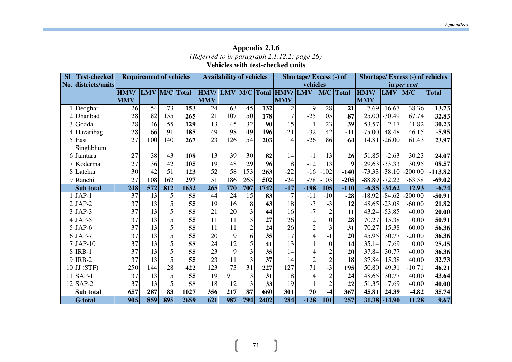# **Appendix 2.1.6**  *(Referred to in paragraph 2.1.12.2; page 26)*  **Vehicles with test-checked units**

| <b>SI</b> | <b>Test-checked</b> |                 | <b>Requirement of vehicles</b> |     |                 |                 | <b>Availability of vehicles</b> |                 |                 | Shortage/Excess (-) of            |                 |                |              | Shortage/ Excess (-) of vehicles |            |             |              |
|-----------|---------------------|-----------------|--------------------------------|-----|-----------------|-----------------|---------------------------------|-----------------|-----------------|-----------------------------------|-----------------|----------------|--------------|----------------------------------|------------|-------------|--------------|
|           | No. districts/units |                 |                                |     |                 |                 |                                 |                 |                 |                                   | vehicles        |                |              |                                  |            | in per cent |              |
|           |                     | <b>HMV/</b>     | LMV M/C Total                  |     |                 |                 |                                 |                 |                 | HMV/ LMV   M/C   Total   HMV/ LMV |                 | M/C            | <b>Total</b> | <b>HMV</b>                       | <b>LMV</b> | M/C         | <b>Total</b> |
|           |                     | <b>MMV</b>      |                                |     |                 | <b>MMV</b>      |                                 |                 |                 | <b>MMV</b>                        |                 |                |              | <b>MMV</b>                       |            |             |              |
|           | Deoghar             | 26              | 54                             | 73  | 153             | 24              | 63                              | 45              | 132             | $\overline{2}$                    | $-9$            | 28             | 21           | 7.69                             | $-16.67$   | 38.36       | 13.73        |
|           | 2 Dhanbad           | 28              | 82                             | 155 | 265             | 21              | 107                             | 50              | 178             | $\overline{7}$                    | $-25$           | 105            | 87           | 25.00                            | $-30.49$   | 67.74       | 32.83        |
|           | 3 Godda             | 28              | 46                             | 55  | 129             | 13              | 45                              | 32              | 90              | 15                                |                 | 23             | 39           | 53.57                            | 2.17       | 41.82       | 30.23        |
|           | 4 Hazaribag         | 28              | 66                             | 91  | 185             | 49              | 98                              | 49              | 196             | $-21$                             | $-32$           | 42             | $-11$        | $-75.00$                         | $-48.48$   | 46.15       | $-5.95$      |
|           | $5$ East            | 27              | 100                            | 140 | 267             | $\overline{23}$ | 126                             | 54              | 203             | $\overline{4}$                    | $-26$           | 86             | 64           | 14.81                            | $-26.00$   | 61.43       | 23.97        |
|           | Singhbhum           |                 |                                |     |                 |                 |                                 |                 |                 |                                   |                 |                |              |                                  |            |             |              |
|           | 6 Jamtara           | 27              | 38                             | 43  | 108             | 13              | 39                              | 30              | 82              | 14                                | $-1$            | 13             | 26           | 51.85                            | $-2.63$    | 30.23       | 24.07        |
|           | Koderma             | $\overline{27}$ | $\overline{36}$                | 42  | 105             | 19              | 48                              | 29              | 96              | 8                                 | $-12$           | 13             | 9            | 29.63                            | $-33.33$   | 30.95       | 08.57        |
|           | 8 Latehar           | 30              | 42                             | 51  | 123             | $\overline{52}$ | 58                              | 153             | 263             | $-22$                             | $-16$           | $-102$         | $-140$       | $-73.33$                         | $-38.10$   | $-200.00$   | $-113.82$    |
|           | 9 Ranchi            | 27              | 108                            | 162 | 297             | $\overline{51}$ | 186                             | 265             | 502             | $-24$                             | $-78$           | $-103$         | $-205$       | $-88.89$                         | $-72.22$   | $-63.58$    | $-69.02$     |
|           | Sub total           | 248             | 572                            | 812 | 1632            | 265             | 770                             | 707             | 1742            | $-17$                             | $-198$          | 105            | $-110$       | $-6.85$                          | $-34.62$   | 12.93       | $-6.74$      |
|           | $JAP-1$             | 37              | 13                             | 5   | 55              | 44              | 24                              | 15              | 83              | $-7$                              | $-11$           | $-10$          | $-28$        | $-18.92$                         | $-84.62$   | $-200.00$   | -50.91       |
|           | $2$ JAP-2           | 37              | 13                             | 5   | 55              | 19              | 16                              | 8               | 43              | 18                                | $-3$            | $-3$           | 12           | 48.65                            | $-23.08$   | $-60.00$    | 21.82        |
|           | $3$ JAP-3           | 37              | $\overline{13}$                | 5   | 55              | 21              | 20                              | 3               | 44              | 16                                | $-7$            | $\overline{2}$ | 11           | 43.24                            | $-53.85$   | 40.00       | 20.00        |
|           | $4$ JAP-5           | 37              | 13                             | 5   | $\overline{55}$ | 11              | 11                              | 5               | $\overline{27}$ | 26                                | $\overline{2}$  | $\overline{0}$ | 28           | 70.27                            | 15.38      | 0.00        | 50.91        |
|           | $5$ JAP-6           | 37              | 13                             | 5   | 55              | 11              | 11                              | $\overline{2}$  | 24              | 26                                | $\overline{2}$  | $\overline{3}$ | 31           | 70.27                            | 15.38      | 60.00       | 56.36        |
|           | $6$ JAP-7           | 37              | 13                             | 5   | 55              | 20              | 9                               | 6               | $\overline{35}$ | 17                                | $\overline{4}$  | $-1$           | 20           | 45.95                            | 30.77      | $-20.00$    | 36.36        |
|           | $7$ JAP-10          | 37              | $\overline{13}$                | 5   | 55              | $\overline{24}$ | $\overline{12}$                 | $\overline{5}$  | 41              | 13                                | $\mathbf{1}$    | $\overline{0}$ | 14           | 35.14                            | 7.69       | 0.00        | 25.45        |
|           | $8$ IRB-1           | 37              | $\overline{13}$                | 5   | $\overline{55}$ | $\overline{23}$ | 9                               | $\overline{3}$  | $\overline{35}$ | 14                                | $\overline{4}$  | $\overline{2}$ | 20           | 37.84                            | 30.77      | 40.00       | 36.36        |
| 9         | IRB-2               | 37              | 13                             | 5   | 55              | 23              | 11                              | 3               | 37              | 14                                | $\sqrt{2}$      | $\overline{c}$ | 18           | 37.84                            | 15.38      | 40.00       | 32.73        |
|           | $10$ JJ (STF)       | 250             | 144                            | 28  | 422             | 123             | 73                              | $\overline{31}$ | 227             | 127                               | $\overline{71}$ | $-3$           | 195          | 50.80                            | 49.31      | $-10.71$    | 46.21        |
|           | $11$ SAP-1          | 37              | 13                             | 5   | 55              | 19              | 9                               | 3               | 31              | 18                                | $\overline{4}$  | $\overline{2}$ | 24           | 48.65                            | 30.77      | 40.00       | 43.64        |
| 12        | SAP-2               | 37              | 13                             | 5   | 55              | 18              | 12                              | 3               | 33              | 19                                | $\mathbf{1}$    | $\overline{2}$ | 22           | 51.35                            | 7.69       | 40.00       | 40.00        |
|           | Sub total           | 657             | 287                            | 83  | 1027            | 356             | 217                             | 87              | 660             | 301                               | 70              | -4             | 367          | 45.81                            | 24.39      | $-4.82$     | 35.74        |
|           | <b>G</b> total      | 905             | 859                            | 895 | 2659            | 621             | 987                             | 794             | 2402            | 284                               | $-128$          | 101            | 257          | 31.38                            | $-14.90$   | 11.28       | 9.67         |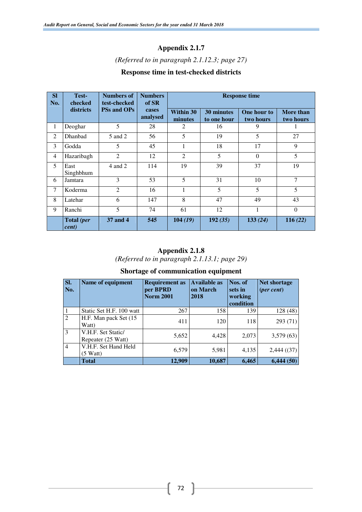# *(Referred to in paragraph 2.1.12.3; page 27)*

# **Response time in test-checked districts**

| <b>SI</b><br>No. | Test-<br>checked    | <b>Numbers of</b><br>test-checked | <b>Numbers</b><br>of SR | <b>Response time</b> |                                  |                          |                        |  |  |  |
|------------------|---------------------|-----------------------------------|-------------------------|----------------------|----------------------------------|--------------------------|------------------------|--|--|--|
|                  | districts           | <b>PSs and OPs</b>                | cases<br>analysed       | Within 30<br>minutes | <b>30 minutes</b><br>to one hour | One hour to<br>two hours | More than<br>two hours |  |  |  |
| 1                | Deoghar             | 5                                 | 28                      | 2                    | 16                               | 9                        |                        |  |  |  |
| 2                | <b>Dhanbad</b>      | 5 and 2                           | 56                      | 5                    | 19                               | 5                        | 27                     |  |  |  |
| 3                | Godda               | 5                                 | 45                      | 1                    | 18                               | 17                       | 9                      |  |  |  |
| 4                | Hazaribagh          | $\overline{2}$                    | 12                      | 2                    | 5                                | $\Omega$                 | 5                      |  |  |  |
| 5                | East<br>Singhbhum   | 4 and 2                           | 114                     | 19                   | 39                               | 37                       | 19                     |  |  |  |
| 6                | Jamtara             | 3                                 | 53                      | 5                    | 31                               | 10                       | 7                      |  |  |  |
| $\tau$           | Koderma             | $\overline{2}$                    | 16                      | 1                    | 5                                | 5                        | 5                      |  |  |  |
| 8                | Latehar             | 6                                 | 147                     | 8                    | 47                               | 49                       | 43                     |  |  |  |
| 9                | Ranchi              | 5                                 | 74                      | 61                   | 12                               | 1                        | $\theta$               |  |  |  |
|                  | Total (per<br>cent) | 37 and 4                          | 545                     | 104(19)              | 192(35)                          | 133(24)                  | 116(22)                |  |  |  |

# **Appendix 2.1.8**

*(Referred to in paragraph 2.1.13.1; page 29)* 

# **Shortage of communication equipment**

| SI.<br>No.     | Name of equipment                             | <b>Requirement as</b><br>per BPRD<br><b>Norm 2001</b> | <b>Available as</b><br>on March<br>2018 | Nos. of<br>sets in<br>working<br>condition | <b>Net shortage</b><br>$(\text{per cent})$ |
|----------------|-----------------------------------------------|-------------------------------------------------------|-----------------------------------------|--------------------------------------------|--------------------------------------------|
| $\mathbf{1}$   | Static Set H.F. 100 watt                      | 267                                                   | 158                                     | 139                                        | 128(48)                                    |
| $\overline{2}$ | H.F. Man pack Set (15)<br>Watt)               | 411                                                   | 120                                     | 118                                        | 293(71)                                    |
| $\overline{3}$ | V.H.F. Set Static/<br>Repeater (25 Watt)      | 5,652                                                 | 4,428                                   | 2,073                                      | 3,579(63)                                  |
| $\overline{4}$ | V.H.F. Set Hand Held<br>(5 W <sub>att</sub> ) | 6,579                                                 | 5,981                                   | 4,135                                      | 2,444(37)                                  |
|                | Total                                         | 12,909                                                | 10,687                                  | 6,465                                      | 6,444(50)                                  |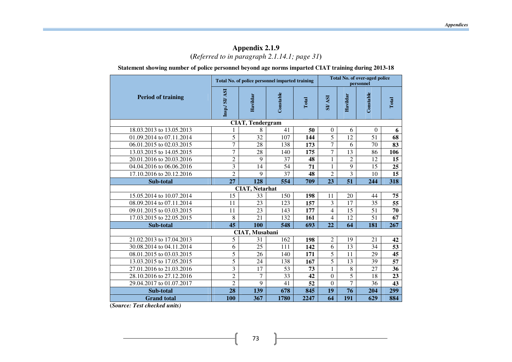# **Appendix 2.1.9 (***Referred to in paragraph 2.1.14.1; page 31***)**

**Statement showing number of police personnel beyond age norms imparted CIAT training during 2013-18** 

|                           |                |                         | Total No. of police personnel imparted training |                 |                | <b>Total No. of over-aged police</b><br>personnel |                 |                 |  |
|---------------------------|----------------|-------------------------|-------------------------------------------------|-----------------|----------------|---------------------------------------------------|-----------------|-----------------|--|
| <b>Period of training</b> | Insp./ SI/ ASI | Havildar                | Constable                                       | Total           | <b>ISV /IS</b> | Havildar                                          | Constable       | Total           |  |
|                           |                | <b>CIAT, Tendergram</b> |                                                 |                 |                |                                                   |                 |                 |  |
| 18.03.2013 to 13.05.2013  | 1              | 8                       | 41                                              | 50              | $\theta$       | 6                                                 | $\theta$        | 6               |  |
| 01.09.2014 to 07.11.2014  | 5              | 32                      | 107                                             | 144             | 5              | 12                                                | $\overline{51}$ | 68              |  |
| 06.01.2015 to 02.03.2015  | $\overline{7}$ | 28                      | 138                                             | 173             | 7              | 6                                                 | 70              | 83              |  |
| 13.03.2015 to 14.05.2015  | 7              | 28                      | 140                                             | 175             | 7              | 13                                                | 86              | 106             |  |
| 20.01.2016 to 20.03.2016  | $\overline{2}$ | 9                       | 37                                              | 48              | $\mathbf{1}$   | $\overline{2}$                                    | 12              | 15              |  |
| 04.04.2016 to 06.06.2016  | $\overline{3}$ | $\overline{14}$         | 54                                              | $\overline{71}$ | $\mathbf{1}$   | $\overline{9}$                                    | $\overline{15}$ | 25              |  |
| 17.10.2016 to 20.12.2016  | $\overline{2}$ | 9                       | 37                                              | 48              | $\overline{c}$ | 3                                                 | 10              | 15              |  |
| Sub-total                 | 27             | 128                     | 554                                             | 709             | 23             | 51                                                | 244             | 318             |  |
|                           |                | <b>CIAT, Netarhat</b>   |                                                 |                 |                |                                                   |                 |                 |  |
| 15.05.2014 to 10.07.2014  | 15             | 33                      | 150                                             | 198             | 11             | 20                                                | 44              | 75              |  |
| 08.09.2014 to 07.11.2014  | 11             | 23                      | 123                                             | 157             | 3              | 17                                                | 35              | 55              |  |
| 09.01.2015 to 03.03.2015  | 11             | 23                      | 143                                             | 177             | $\overline{4}$ | 15                                                | 51              | 70              |  |
| 17.03.2015 to 22.05.2015  | 8              | 21                      | 132                                             | 161             | $\overline{4}$ | 12                                                | $\overline{51}$ | 67              |  |
| Sub-total                 | 45             | 100                     | 548                                             | 693             | 22             | 64                                                | 181             | 267             |  |
|                           |                | CIAT, Musabani          |                                                 |                 |                |                                                   |                 |                 |  |
| 21.02.2013 to 17.04.2013  | 5              | 31                      | 162                                             | 198             | $\overline{c}$ | 19                                                | 21              | 42              |  |
| 30.08.2014 to 04.11.2014  | 6              | 25                      | 111                                             | 142             | $\overline{6}$ | 13                                                | 34              | 53              |  |
| 08.01.2015 to 03.03.2015  | 5              | 26                      | 140                                             | 171             | 5              | 11                                                | 29              | 45              |  |
| 13.03.2015 to 17.05.2015  | 5              | 24                      | 138                                             | 167             | 5              | 13                                                | 39              | $\overline{57}$ |  |
| 27.01.2016 to 21.03.2016  | 3              | 17                      | 53                                              | 73              | $\mathbf{1}$   | 8                                                 | 27              | 36              |  |
| 28.10.2016 to 27.12.2016  | $\overline{2}$ | $\overline{7}$          | 33                                              | 42              | $\overline{0}$ | 5                                                 | 18              | 23              |  |
| 29.04.2017 to 01.07.2017  | $\overline{2}$ | 9                       | 41                                              | 52              | $\Omega$       | $\overline{7}$                                    | 36              | 43              |  |
| Sub-total                 | 28             | 139                     | 678                                             | 845             | 19             | 76                                                | 204             | 299             |  |
| <b>Grand</b> total        | 100            | 367                     | 1780                                            | 2247            | 64             | 191                                               | 629             | 884             |  |

 **(***Source: Test checked units)*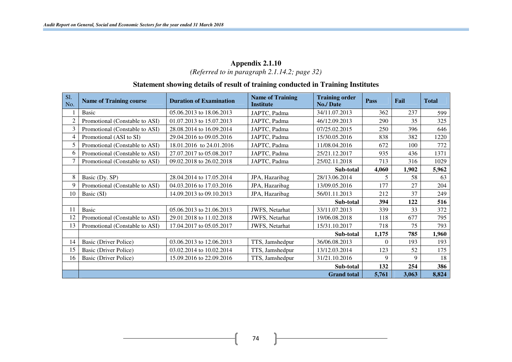### **Appendix 2.1.10**  *(Referred to in paragraph 2.1.14.2; page 32)*

### **Statement showing details of result of training conducted in Training Institutes**

| S1.<br>No.     | <b>Name of Training course</b> | <b>Duration of Examination</b> | <b>Name of Training</b><br><b>Institute</b> | <b>Training order</b><br><b>No./Date</b> | Pass     | Fail  | <b>Total</b> |
|----------------|--------------------------------|--------------------------------|---------------------------------------------|------------------------------------------|----------|-------|--------------|
|                | <b>Basic</b>                   | 05.06.2013 to 18.06.2013       | JAPTC, Padma                                | 34/11.07.2013                            | 362      | 237   | 599          |
| $\overline{2}$ | Promotional (Constable to ASI) | 01.07.2013 to 15.07.2013       | JAPTC, Padma                                | 46/12.09.2013                            | 290      | 35    | 325          |
| 3              | Promotional (Constable to ASI) | 28.08.2014 to 16.09.2014       | JAPTC, Padma                                | 07/25.02.2015                            | 250      | 396   | 646          |
| 4              | Promotional (ASI to SI)        | 29.04.2016 to 09.05.2016       | JAPTC, Padma                                | 15/30.05.2016                            | 838      | 382   | 1220         |
| 5              | Promotional (Constable to ASI) | 18.01.2016 to 24.01.2016       | JAPTC, Padma                                | 11/08.04.2016                            | 672      | 100   | 772          |
| 6              | Promotional (Constable to ASI) | 27.07.2017 to 05.08.2017       | JAPTC, Padma                                | 25/21.12.2017                            | 935      | 436   | 1371         |
|                | Promotional (Constable to ASI) | 09.02.2018 to 26.02.2018       | JAPTC, Padma                                | 25/02.11.2018                            | 713      | 316   | 1029         |
|                |                                |                                |                                             | Sub-total                                | 4,060    | 1,902 | 5,962        |
| 8              | Basic (Dy. SP)                 | 28.04.2014 to 17.05.2014       | JPA, Hazaribag                              | 28/13.06.2014                            | 5        | 58    | 63           |
| 9              | Promotional (Constable to ASI) | 04.03.2016 to 17.03.2016       | JPA, Hazaribag                              | 13/09.05.2016                            | 177      | 27    | 204          |
| 10             | Basic (SI)                     | 14.09.2013 to 09.10.2013       | JPA, Hazaribag                              | 56/01.11.2013                            | 212      | 37    | 249          |
|                |                                |                                |                                             | Sub-total                                | 394      | 122   | 516          |
|                | <b>Basic</b>                   | 05.06.2013 to 21.06.2013       | JWFS, Netarhat                              | 33/11.07.2013                            | 339      | 33    | 372          |
| 12             | Promotional (Constable to ASI) | 29.01.2018 to 11.02.2018       | JWFS, Netarhat                              | 19/06.08.2018                            | 118      | 677   | 795          |
| 13             | Promotional (Constable to ASI) | 17.04.2017 to 05.05.2017       | JWFS, Netarhat                              | 15/31.10.2017                            | 718      | 75    | 793          |
|                |                                |                                |                                             | Sub-total                                | 1,175    | 785   | 1,960        |
| 14             | <b>Basic (Driver Police)</b>   | 03.06.2013 to 12.06.2013       | TTS, Jamshedpur                             | 36/06.08.2013                            | $\Omega$ | 193   | 193          |
| 15             | <b>Basic (Driver Police)</b>   | 03.02.2014 to 10.02.2014       | TTS, Jamshedpur                             | 13/12.03.2014                            | 123      | 52    | 175          |
| 16             | Basic (Driver Police)          | 15.09.2016 to 22.09.2016       | TTS, Jamshedpur                             | 31/21.10.2016                            | 9        | 9     | 18           |
|                |                                |                                |                                             | Sub-total                                | 132      | 254   | 386          |
|                |                                |                                |                                             | <b>Grand</b> total                       | 5,761    | 3,063 | 8,824        |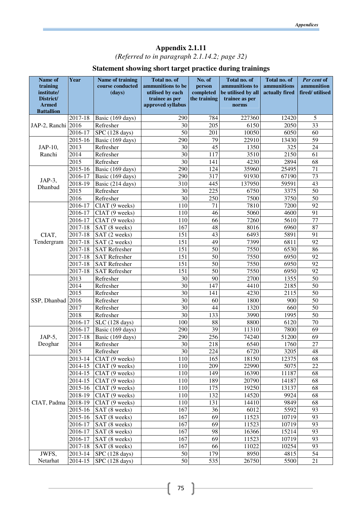*(Referred to in paragraph 2.1.14.2; page 32)* 

# **Statement showing short target practice during trainings**

| Name of                 | Year              | Name of training     | Total no. of                        | No. of                    | Total no. of            | Total no. of   | Per cent of     |
|-------------------------|-------------------|----------------------|-------------------------------------|---------------------------|-------------------------|----------------|-----------------|
| training                |                   | course conducted     | ammunitions to be                   | person                    | ammunitions to          | ammunitions    | ammunition      |
| institute/<br>District/ |                   | (days)               | utilised by each                    | completed<br>the training | be utilised by all      | actually fired | fired/utilised  |
| <b>Armed</b>            |                   |                      | trainee as per<br>approved syllabus |                           | trainee as per<br>norms |                |                 |
| <b>Battallion</b>       |                   |                      |                                     |                           |                         |                |                 |
|                         | 2017-18           | Basic (169 days)     | 290                                 | 784                       | 227360                  | 12420          | 5               |
| JAP-2, Ranchi 2016      |                   | Refresher            | 30                                  | 205                       | 6150                    | 2050           | 33              |
|                         | 2016-17           | SPC (128 days)       | 50                                  | 201                       | 10050                   | 6050           | 60              |
|                         | 2015-16           | Basic (169 days)     | 290                                 | 79                        | 22910                   | 13430          | 59              |
| JAP-10,                 | 2013              | Refresher            | 30                                  | 45                        | 1350                    | 325            | 24              |
| Ranchi                  | $\overline{20}14$ | Refresher            | 30                                  | 117                       | 3510                    | 2150           | 61              |
|                         | 2015              | Refresher            | 30                                  | 141                       | 4230                    | 2894           | 68              |
|                         | 2015-16           | Basic (169 days)     | 290                                 | 124                       | 35960                   | 25495          | 71              |
|                         | 2016-17           | Basic (169 days)     | 290                                 | 317                       | 91930                   | 67190          | 73              |
| JAP-3,<br>Dhanbad       | 2018-19           | Basic (214 days)     | 310                                 | 445                       | 137950                  | 59591          | 43              |
|                         | 2015              | Refresher            | 30                                  | 225                       | 6750                    | 3375           | 50              |
|                         | 2016              | Refresher            | 30                                  | 250                       | 7500                    | 3750           | 50              |
|                         | 2016-17           | CIAT (9 weeks)       | 110                                 | 71                        | 7810                    | 7200           | 92              |
|                         | 2016-17           | CIAT (9 weeks)       | 110                                 | 46                        | 5060                    | 4600           | 91              |
|                         | 2016-17           | CIAT (9 weeks)       | 110                                 | 66                        | 7260                    | 5610           | 77              |
|                         | 2017-18           | SAT (8 weeks)        | 167                                 | 48                        | 8016                    | 6960           | 87              |
| CIAT,                   | $2017 - 18$       | SAT (2 weeks)        | 151                                 | 43                        | 6493                    | 5891           | 91              |
| Tendergram              | 2017-18           | SAT (2 weeks)        | 151                                 | 49                        | 7399                    | 6811           | 92              |
|                         | 2017-18           | SAT Refresher        | 151                                 | 50                        | 7550                    | 6530           | 86              |
|                         | 2017-18           | <b>SAT Refresher</b> | 151                                 | 50                        | 7550                    | 6950           | 92              |
|                         | 2017-18           | <b>SAT Refresher</b> | 151                                 | 50                        | 7550                    | 6950           | 92              |
|                         | 2017-18           | <b>SAT Refresher</b> | 151                                 | 50                        | 7550                    | 6950           | 92              |
|                         | 2013              | Refresher            | 30                                  | 90                        | 2700                    | 1355           | 50              |
|                         | 2014              | Refresher            | 30                                  | 147                       | 4410                    | 2185           | 50              |
|                         | 2015              | Refresher            | 30                                  | 141                       | 4230                    | 2115           | 50              |
| SSP, Dhanbad            | 2016              | Refresher            | 30                                  | 60                        | 1800                    | 900            | 50              |
|                         | 2017              | Refresher            | 30                                  | 44                        | 1320                    | 660            | 50              |
|                         | 2018              | Refresher            | 30                                  | 133                       | 3990                    | 1995           | 50              |
|                         | 2016-17           | SLC (128 days)       | 100                                 | 88                        | 8800                    | 6120           | 70              |
|                         | 2016-17           | Basic (169 days)     | 290                                 | 39                        | 11310                   | 7800           | 69              |
| JAP-5,                  | 2017-18           | Basic (169 days)     | 290                                 | 256                       | 74240                   | 51200          | 69              |
| Deoghar                 | 2014              | Refresher            | 30                                  | 218                       | 6540                    | 1760           | $\overline{27}$ |
|                         | 2015              | Refresher            | 30                                  | 224                       | 6720                    | 3205           | 48              |
|                         | 2013-14           | CIAT (9 weeks)       | 110                                 | 165                       | 18150                   | 12375          | 68              |
|                         | 2014-15           | CIAT (9 weeks)       | 110                                 | 209                       | 22990                   | 5075           | 22              |
|                         | 2014-15           | CIAT (9 weeks)       | 110                                 | 149                       | 16390                   | 11187          | 68              |
|                         | 2014-15           | CIAT (9 weeks)       | 110                                 | 189                       | 20790                   | 14187          | 68              |
|                         | 2015-16           | CIAT (9 weeks)       | 110                                 | 175                       | 19250                   | 13137          | 68              |
|                         | 2018-19           | CIAT (9 weeks)       | 110                                 | 132                       | 14520                   | 9924           | 68              |
| CIAT, Padma             | 2018-19           | CIAT (9 weeks)       | 110                                 | 131                       | 14410                   | 9849           | 68              |
|                         | 2015-16           | SAT (8 weeks)        | 167                                 | 36                        | 6012                    | 5592           | 93              |
|                         | 2015-16           | SAT (8 weeks)        | 167                                 | 69                        | 11523                   | 10719          | 93              |
|                         | 2016-17           | SAT (8 weeks)        | 167                                 | 69                        | 11523                   | 10719          | 93              |
|                         | 2016-17           | SAT (8 weeks)        | 167                                 | 98                        | 16366                   | 15214          | 93              |
|                         | 2016-17           | SAT (8 weeks)        | 167                                 | 69                        | 11523                   | 10719          | 93              |
|                         | 2017-18           | SAT (8 weeks)        | 167                                 | 66                        | 11022                   | 10254          | 93              |
| JWFS,                   | 2013-14           | SPC (128 days)       | 50                                  | 179                       | 8950                    | 4815           | 54              |
| Netarhat                | 2014-15           | SPC (128 days)       | 50                                  | 535                       | 26750                   | 5500           | 21              |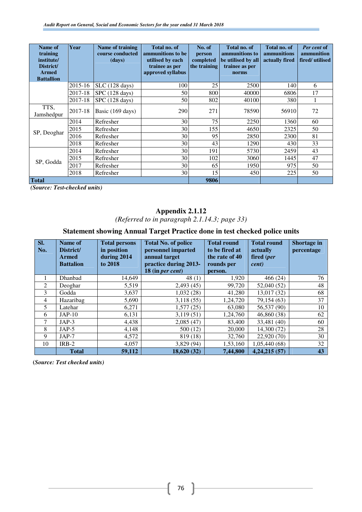| Name of<br>training<br>institute/<br>District/<br><b>Armed</b><br><b>Battallion</b> | Year    | Name of training<br>course conducted<br>(days) | <b>Total no. of</b><br>ammunitions to be<br>utilised by each<br>trainee as per<br>approved syllabus | No. of<br>person<br>completed<br>the training | Total no. of<br>ammunitions to<br>be utilised by all<br>trainee as per<br>norms | Total no. of<br>ammunitions<br>actually fired | Per cent of<br>ammunition<br>fired/utilised |
|-------------------------------------------------------------------------------------|---------|------------------------------------------------|-----------------------------------------------------------------------------------------------------|-----------------------------------------------|---------------------------------------------------------------------------------|-----------------------------------------------|---------------------------------------------|
|                                                                                     | 2015-16 | $SLC(128 \text{ days})$                        | 100                                                                                                 | 25                                            | 2500                                                                            | 140                                           | 6                                           |
|                                                                                     | 2017-18 | SPC (128 days)                                 | 50                                                                                                  | 800                                           | 40000                                                                           | 6806                                          | 17                                          |
|                                                                                     | 2017-18 | SPC (128 days)                                 | 50                                                                                                  | 802                                           | 40100                                                                           | 380                                           | 1                                           |
| TTS,<br>Jamshedpur                                                                  | 2017-18 | Basic (169 days)                               | 290                                                                                                 | 271                                           | 78590                                                                           | 56910                                         | 72                                          |
|                                                                                     | 2014    | Refresher                                      | 30                                                                                                  | 75                                            | 2250                                                                            | 1360                                          | 60                                          |
| SP, Deoghar                                                                         | 2015    | Refresher                                      | 30                                                                                                  | 155                                           | 4650                                                                            | 2325                                          | 50                                          |
|                                                                                     | 2016    | Refresher                                      | 30                                                                                                  | 95                                            | 2850                                                                            | 2300                                          | 81                                          |
|                                                                                     | 2018    | Refresher                                      | 30                                                                                                  | 43                                            | 1290                                                                            | 430                                           | 33                                          |
|                                                                                     | 2014    | Refresher                                      | 30                                                                                                  | 191                                           | 5730                                                                            | 2459                                          | 43                                          |
|                                                                                     | 2015    | Refresher                                      | 30                                                                                                  | 102                                           | 3060                                                                            | 1445                                          | 47                                          |
| SP, Godda                                                                           | 2017    | Refresher                                      | 30                                                                                                  | 65                                            | 1950                                                                            | 975                                           | 50                                          |
|                                                                                     | 2018    | Refresher                                      | 30                                                                                                  | 15                                            | 450                                                                             | 225                                           | 50                                          |
| <b>Total</b>                                                                        |         |                                                |                                                                                                     | 9806                                          |                                                                                 |                                               |                                             |

*(Source: Test-checked units)* 

# **Appendix 2.1.12**

*(Referred to in paragraph 2.1.14.3; page 33)* 

# **Statement showing Annual Target Practice done in test checked police units**

| SI.<br>No.     | Name of<br>District/<br><b>Armed</b><br><b>Battalion</b> | <b>Total persons</b><br>in position<br>during 2014<br>to 2018 | <b>Total No. of police</b><br>personnel imparted<br>annual target<br>practice during 2013-<br>18 (in per cent) | <b>Total round</b><br>to be fired at<br>the rate of 40<br>rounds per<br>person. | <b>Total round</b><br>actually<br>fired (per<br>cent) | Shortage in<br>percentage |
|----------------|----------------------------------------------------------|---------------------------------------------------------------|----------------------------------------------------------------------------------------------------------------|---------------------------------------------------------------------------------|-------------------------------------------------------|---------------------------|
| 1              | Dhanbad                                                  | 14,649                                                        | 48 $(1)$                                                                                                       | 1,920                                                                           | 466(24)                                               | 76                        |
| 2              | Deoghar                                                  | 5,519                                                         | 2,493(45)                                                                                                      | 99,720                                                                          | 52,040 (52)                                           | 48                        |
| 3              | Godda                                                    | 3,637                                                         | 1,032(28)                                                                                                      | 41,280                                                                          | 13,017 (32)                                           | 68                        |
| $\overline{4}$ | Hazaribag                                                | 5,690                                                         | 3,118(55)                                                                                                      | 1,24,720                                                                        | 79,154 (63)                                           | 37                        |
| 5              | Latehar                                                  | 6,271                                                         | 1,577(25)                                                                                                      | 63,080                                                                          | 56,537 (90)                                           | 10                        |
| 6              | $JAP-10$                                                 | 6,131                                                         | 3,119(51)                                                                                                      | 1,24,760                                                                        | 46,860 (38)                                           | 62                        |
|                | $JAP-3$                                                  | 4,438                                                         | 2,085(47)                                                                                                      | 83,400                                                                          | 33,481 (40)                                           | 60                        |
| 8              | $JAP-5$                                                  | 4,148                                                         | 500 (12)                                                                                                       | 20,000                                                                          | 14,300 (72)                                           | 28                        |
| 9              | $JAP-7$                                                  | 4,572                                                         | 819 (18)                                                                                                       | 32,760                                                                          | 22,920 (70)                                           | 30                        |
| 10             | $IRB-2$                                                  | 4,057                                                         | 3,829 (94)                                                                                                     | 1,53,160                                                                        | 1,05,440 (68)                                         | 32                        |
|                | <b>Total</b>                                             | 59,112                                                        | 18,620 (32)                                                                                                    | 7,44,800                                                                        | 4,24,215(57)                                          | 43                        |

**(***Source: Test checked units)*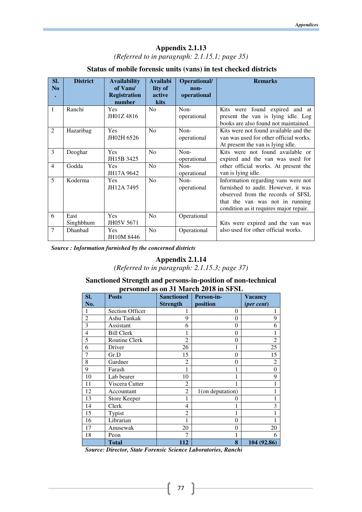*(Referred to in paragraph: 2.1.15.1; page 35)* 

#### **Status of mobile forensic units (vans) in test checked districts**

| SI.                         | <b>District</b>   | <b>Availability</b>                      | <b>Availabi</b>           | Operational/        | <b>Remarks</b>                                                                                                                                                                               |
|-----------------------------|-------------------|------------------------------------------|---------------------------|---------------------|----------------------------------------------------------------------------------------------------------------------------------------------------------------------------------------------|
| N <sub>0</sub><br>$\bullet$ |                   | of Vans<br><b>Registration</b><br>number | lity of<br>active<br>kits | non-<br>operational |                                                                                                                                                                                              |
| 1                           | Ranchi            | <b>Yes</b><br>JH01Z4816                  | N <sub>0</sub>            | Non-<br>operational | Kits were found expired and at<br>present the van is lying idle. Log<br>books are also found not maintained.                                                                                 |
| $\overline{2}$              | Hazaribag         | <b>Yes</b><br>JH02H 6526                 | No                        | Non-<br>operational | Kits were not found available and the<br>van was used for other official works.<br>At present the van is lying idle.                                                                         |
| 3                           | Deoghar           | <b>Yes</b><br>JH15B 3425                 | N <sub>0</sub>            | Non-<br>operational | Kits were not found available or<br>expired and the van was used for                                                                                                                         |
| $\overline{4}$              | Godda             | <b>Yes</b><br>JH17A 9642                 | No                        | Non-<br>operational | other official works. At present the<br>van is lying idle.                                                                                                                                   |
| 5                           | Koderma           | <b>Yes</b><br>JH12A 7495                 | N <sub>o</sub>            | Non-<br>operational | Information regarding vans were not<br>furnished to audit. However, it was<br>observed from the records of SFSL<br>that the van was not in running<br>condition as it requires major repair. |
| 6                           | East<br>Singhbhum | <b>Yes</b><br>JH05V 5671                 | N <sub>0</sub>            | Operational         | Kits were expired and the van was                                                                                                                                                            |
| 7                           | Dhanbad           | <b>Yes</b><br>JH10M 8446                 | No                        | Operational         | also used for other official works.                                                                                                                                                          |

*Source : Information furnished by the concerned districts* 

# **Appendix 2.1.14**

*(Referred to in paragraph: 2.1.15.3; page 37)* 

#### **Sanctioned Strength and persons-in-position of non-technical personnel as on 31 March 2018 in SFSL**

| SI.            | <b>Posts</b>           | <b>Sanctioned</b> | Person-in-       | <b>Vacancy</b> |
|----------------|------------------------|-------------------|------------------|----------------|
| No.            |                        | <b>Strength</b>   | position         | (per cent)     |
| 1              | <b>Section Officer</b> |                   | $\Omega$         | 1              |
| $\overline{2}$ | Ashu Tankak            | 9                 | $\theta$         | 9              |
| 3              | Assistant              | 6                 | $\mathbf{0}$     | 6              |
| $\overline{4}$ | <b>Bill Clerk</b>      |                   | $\overline{0}$   | 1              |
| 5              | Routine Clerk          | $\mathfrak{D}$    | $\overline{0}$   | $\overline{2}$ |
| 6              | Driver                 | 26                |                  | 25             |
| 7              | Gr.D                   | 15                | $\mathbf{0}$     | 15             |
| 8              | Gardner                | $\mathfrak{D}$    | $\overline{0}$   | $\overline{c}$ |
| 9              | Farash                 |                   | 1                | $\theta$       |
| 10             | Lab bearer             | 10                |                  | 9              |
| 11             | Viscera Cutter         | $\overline{c}$    |                  |                |
| 12             | Accountant             | $\overline{c}$    | 1(on deputation) |                |
| 13             | Store Keeper           |                   | 0                |                |
| 14             | Clerk                  | 4                 |                  | 3              |
| 15             | Typist                 | $\overline{c}$    |                  |                |
| 16             | Librarian              |                   | $\overline{0}$   |                |
| 17             | Anusewak               | 20                | $\overline{0}$   | 20             |
| 18             | Peon                   | 7                 |                  | 6              |
|                | Total                  | 112               | 8                | 104 (92.86)    |

*Source: Director, State Forensic Science Laboratories, Ranchi* 

 $\left\{ 77\right\}$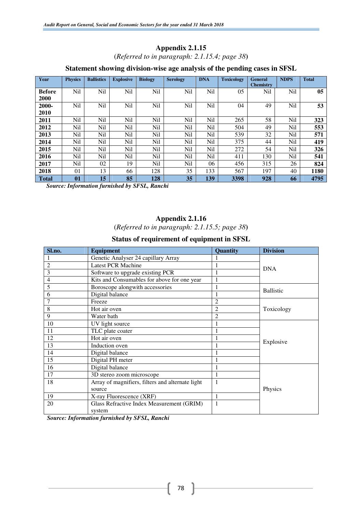(*Referred to in paragraph: 2.1.15.4; page 38***)** 

#### **Statement showing division-wise age analysis of the pending cases in SFSL**

| Year          | <b>Physics</b> | <b>Ballistics</b> | <b>Explosive</b> | <b>Biology</b> | <b>Serology</b> | <b>DNA</b> | <b>Toxicology</b> | <b>General</b>   | <b>NDPS</b> | <b>Total</b> |
|---------------|----------------|-------------------|------------------|----------------|-----------------|------------|-------------------|------------------|-------------|--------------|
|               |                |                   |                  |                |                 |            |                   | <b>Chemistry</b> |             |              |
| <b>Before</b> | Nil            | Nil               | Nil              | <b>Nil</b>     | Nil             | Nil        | 05                | Nil              | Nil         | 05           |
| 2000          |                |                   |                  |                |                 |            |                   |                  |             |              |
| 2000-         | Nil            | Nil               | Nil              | Nil            | Nil             | Nil        | 04                | 49               | Nil         | 53           |
| 2010          |                |                   |                  |                |                 |            |                   |                  |             |              |
| 2011          | Nil            | Nil               | Nil              | Nil            | Nil             | Nil        | 265               | 58               | Nil         | 323          |
| 2012          | Ni1            | Nil               | Nil              | Nil            | Nil             | Nil        | 504               | 49               | Nil         | 553          |
| 2013          | Nil            | Nil               | Nil              | Nil            | Nil             | Nil        | 539               | 32               | Nil         | 571          |
| 2014          | Ni1            | Nil               | Nil              | Nil            | Nil             | Nil        | 375               | 44               | Nil         | 419          |
| 2015          | Nil            | Nil               | Nil              | Nil            | Nil             | Nil        | 272               | 54               | Nil         | 326          |
| 2016          | Nil            | Nil               | Nil              | Nil            | Nil             | Nil        | 411               | 130              | Nil         | 541          |
| 2017          | Nil            | 02                | 19               | Nil            | Nil             | 06         | 456               | 315              | 26          | 824          |
| 2018          | 0 <sub>1</sub> | 13                | 66               | 128            | 35              | 133        | 567               | 197              | 40          | 1180         |
| <b>Total</b>  | 01             | 15                | 85               | 128            | 35              | 139        | 3398              | 928              | 66          | 4795         |

 *Source: Information furnished by SFSL, Ranchi*

#### **Appendix 2.1.16**

(*Referred to in paragraph: 2.1.15.5; page 38***)** 

#### **Status of requirement of equipment in SFSL**

| Sl.no.         | <b>Equipment</b>                                 | Quantity       | <b>Division</b>  |  |  |
|----------------|--------------------------------------------------|----------------|------------------|--|--|
|                | Genetic Analyser 24 capillary Array              |                |                  |  |  |
| $\overline{c}$ | <b>Latest PCR Machine</b>                        |                |                  |  |  |
| 3              | Software to upgrade existing PCR                 |                | <b>DNA</b>       |  |  |
| 4              | Kits and Consumables for above for one year      |                |                  |  |  |
| 5              | Boroscope alongwith accessories                  |                |                  |  |  |
| 6              | Digital balance                                  |                | <b>Ballistic</b> |  |  |
| 7              | Freeze                                           | $\overline{c}$ |                  |  |  |
| 8              | Hot air oven                                     | $\overline{2}$ | Toxicology       |  |  |
| 9              | Water bath                                       | $\mathfrak{D}$ |                  |  |  |
| 10             | UV light source                                  |                |                  |  |  |
| 11             | TLC plate coater                                 |                |                  |  |  |
| 12             | Hot air oven                                     |                |                  |  |  |
| 13             | Induction oven                                   |                | Explosive        |  |  |
| 14             | Digital balance                                  |                |                  |  |  |
| 15             | Digital PH meter                                 |                |                  |  |  |
| 16             | Digital balance                                  |                |                  |  |  |
| 17             | 3D stereo zoom microscope                        |                |                  |  |  |
| 18             | Array of magnifiers, filters and alternate light |                |                  |  |  |
|                | source                                           |                | Physics          |  |  |
| 19             | X-ray Fluorescence (XRF)                         |                |                  |  |  |
| 20             | Glass Refractive Index Measurement (GRIM)        |                |                  |  |  |
|                | system                                           |                |                  |  |  |

*Source: Information furnished by SFSL, Ranchi*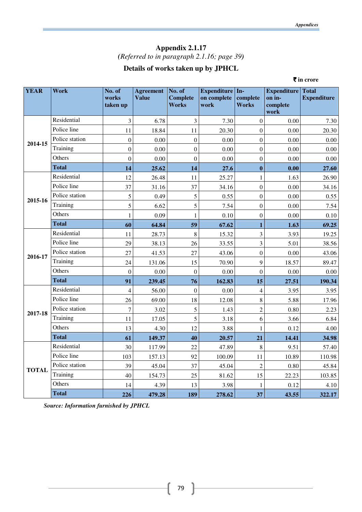# **Appendix 2.1.17**  *(Referred to in paragraph 2.1.16; page 39)*

# **Details of works taken up by JPHCL**

|              |                |                             |                                  |                                           |                                        |                          |                                                  | ₹ in crore                         |
|--------------|----------------|-----------------------------|----------------------------------|-------------------------------------------|----------------------------------------|--------------------------|--------------------------------------------------|------------------------------------|
| <b>YEAR</b>  | <b>Work</b>    | No. of<br>works<br>taken up | <b>Agreement</b><br><b>Value</b> | No. of<br><b>Complete</b><br><b>Works</b> | Expenditure In-<br>on complete<br>work | complete<br><b>Works</b> | <b>Expenditure</b><br>on in-<br>complete<br>work | <b>Total</b><br><b>Expenditure</b> |
|              | Residential    | $\mathfrak{Z}$              | 6.78                             | 3                                         | 7.30                                   | $\boldsymbol{0}$         | 0.00                                             | 7.30                               |
|              | Police line    | 11                          | 18.84                            | 11                                        | 20.30                                  | $\boldsymbol{0}$         | 0.00                                             | 20.30                              |
| 2014-15      | Police station | $\boldsymbol{0}$            | 0.00                             | $\overline{0}$                            | 0.00                                   | $\boldsymbol{0}$         | 0.00                                             | 0.00                               |
|              | Training       | $\boldsymbol{0}$            | 0.00                             | $\boldsymbol{0}$                          | 0.00                                   | $\boldsymbol{0}$         | 0.00                                             | 0.00                               |
|              | Others         | $\boldsymbol{0}$            | 0.00                             | $\boldsymbol{0}$                          | 0.00                                   | $\boldsymbol{0}$         | 0.00                                             | 0.00                               |
|              | <b>Total</b>   | 14                          | 25.62                            | 14                                        | 27.6                                   | $\bf{0}$                 | 0.00                                             | 27.60                              |
|              | Residential    | 12                          | 26.48                            | 11                                        | 25.27                                  | $\mathbf{1}$             | 1.63                                             | 26.90                              |
|              | Police line    | 37                          | 31.16                            | 37                                        | 34.16                                  | $\boldsymbol{0}$         | 0.00                                             | 34.16                              |
| 2015-16      | Police station | 5                           | 0.49                             | 5                                         | 0.55                                   | $\boldsymbol{0}$         | 0.00                                             | 0.55                               |
|              | Training       | 5                           | 6.62                             | 5                                         | 7.54                                   | $\boldsymbol{0}$         | 0.00                                             | 7.54                               |
|              | Others         | 1                           | 0.09                             | 1                                         | 0.10                                   | $\boldsymbol{0}$         | 0.00                                             | 0.10                               |
|              | <b>Total</b>   | 60                          | 64.84                            | 59                                        | 67.62                                  | $\mathbf{1}$             | 1.63                                             | 69.25                              |
|              | Residential    | 11                          | 28.73                            | 8                                         | 15.32                                  | 3                        | 3.93                                             | 19.25                              |
|              | Police line    | 29                          | 38.13                            | 26                                        | 33.55                                  | $\overline{\mathbf{3}}$  | 5.01                                             | 38.56                              |
| 2016-17      | Police station | 27                          | 41.53                            | 27                                        | 43.06                                  | $\boldsymbol{0}$         | 0.00                                             | 43.06                              |
|              | Training       | 24                          | 131.06                           | 15                                        | 70.90                                  | 9                        | 18.57                                            | 89.47                              |
|              | Others         | $\boldsymbol{0}$            | 0.00                             | $\overline{0}$                            | 0.00                                   | $\boldsymbol{0}$         | 0.00                                             | 0.00                               |
|              | <b>Total</b>   | 91                          | 239.45                           | 76                                        | 162.83                                 | 15                       | 27.51                                            | 190.34                             |
|              | Residential    | $\overline{4}$              | 56.00                            | $\mathbf{0}$                              | 0.00                                   | $\overline{4}$           | 3.95                                             | 3.95                               |
|              | Police line    | 26                          | 69.00                            | 18                                        | 12.08                                  | $\,$ 8 $\,$              | 5.88                                             | 17.96                              |
| 2017-18      | Police station | $\overline{7}$              | 3.02                             | 5                                         | 1.43                                   | $\overline{c}$           | 0.80                                             | 2.23                               |
|              | Training       | 11                          | 17.05                            | 5                                         | 3.18                                   | 6                        | 3.66                                             | 6.84                               |
|              | Others         | 13                          | 4.30                             | 12                                        | 3.88                                   | 1                        | 0.12                                             | 4.00                               |
|              | <b>Total</b>   | 61                          | 149.37                           | 40                                        | 20.57                                  | 21                       | 14.41                                            | 34.98                              |
|              | Residential    | $30\,$                      | 117.99                           | $22\,$                                    | 47.89                                  | $8\,$                    | 9.51                                             | 57.40                              |
|              | Police line    | 103                         | 157.13                           | 92                                        | 100.09                                 | 11                       | 10.89                                            | 110.98                             |
| <b>TOTAL</b> | Police station | 39                          | 45.04                            | 37                                        | 45.04                                  | $\sqrt{2}$               | 0.80                                             | 45.84                              |
|              | Training       | 40                          | 154.73                           | 25                                        | 81.62                                  | 15                       | 22.23                                            | 103.85                             |
|              | Others         | 14                          | 4.39                             | 13                                        | 3.98                                   | $\mathbf{1}$             | 0.12                                             | 4.10                               |
|              | <b>Total</b>   | 226                         | 479.28                           | 189                                       | 278.62                                 | 37                       | 43.55                                            | 322.17                             |

*Source: Information furnished by JPHCL*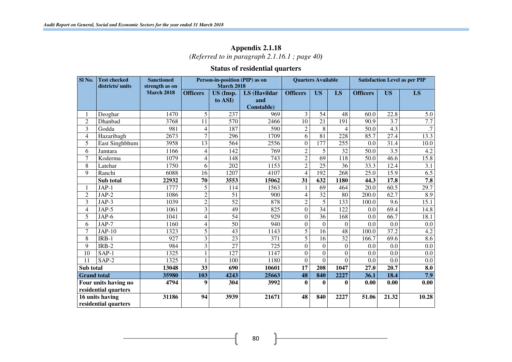#### **Appendix 2.1.18**  *(Referred to in paragraph 2.1.16.1 ; page 40)*

# **Status of residential quarters**

| Sl No.             | <b>Test checked</b><br>districts/ units | <b>Sanctioned</b><br>strength as on |                 | Person-in-position (PIP) as on<br><b>March 2018</b> |                  |                  | <b>Quarters Available</b> |                  | <b>Satisfaction Level as per PIP</b> |                   |                      |  |
|--------------------|-----------------------------------------|-------------------------------------|-----------------|-----------------------------------------------------|------------------|------------------|---------------------------|------------------|--------------------------------------|-------------------|----------------------|--|
|                    |                                         | <b>March 2018</b>                   | <b>Officers</b> | US (Insp.                                           | LS (Havildar     | <b>Officers</b>  | <b>US</b>                 | LS               | <b>Officers</b>                      | <b>US</b>         | LS                   |  |
|                    |                                         |                                     |                 | to ASI)                                             | and              |                  |                           |                  |                                      |                   |                      |  |
|                    |                                         |                                     |                 |                                                     | Constable)       |                  |                           |                  |                                      |                   |                      |  |
|                    | Deoghar                                 | 1470                                | 5               | 237                                                 | 969              | 3                | 54                        | 48               | 60.0                                 | 22.8              | 5.0                  |  |
| $\overline{c}$     | Dhanbad                                 | 3768                                | 11              | 570                                                 | 2466             | 10               | 21                        | 191              | 90.9                                 | 3.7               | 7.7                  |  |
| 3                  | Godda                                   | 981                                 | 4               | 187                                                 | 590              | $\overline{2}$   | 8                         | $\overline{4}$   | 50.0                                 | 4.3               | $\cdot$ 7            |  |
| 4                  | Hazaribagh                              | 2673                                | 7               | 296                                                 | 1709             | 6                | 81                        | 228              | 85.7                                 | 27.4              | 13.3                 |  |
| 5                  | East Singhbhum                          | 3958                                | 13              | 564                                                 | 2556             | $\boldsymbol{0}$ | 177                       | 255              | 0.0                                  | 31.4              | 10.0                 |  |
| 6                  | Jamtara                                 | 1166                                | 4               | 142                                                 | 769              | $\overline{c}$   | 5                         | 32               | 50.0                                 | 3.5               | 4.2                  |  |
| 7                  | Koderma                                 | 1079                                | 4               | 148                                                 | 743              | $\overline{2}$   | $\overline{69}$           | 118              | $\frac{1}{50.0}$                     | 46.6              | 15.8                 |  |
| 8                  | Latehar                                 | 1750                                | 6               | 202                                                 | 1153             | $\overline{2}$   | $\overline{25}$           | 36               | 33.3                                 | 12.4              | 3.1                  |  |
| 9                  | Ranchi                                  | 6088                                | 16              | 1207                                                | 4107             | $\overline{4}$   | 192                       | 268              | 25.0                                 | 15.9              | 6.5                  |  |
|                    | Sub total                               | 22932                               | 70              | 3553                                                | 15062            | 31               | 632                       | 1180             | 44.3                                 | 17.8              | 7.8                  |  |
|                    | $JAP-1$                                 | 1777                                | $\overline{5}$  | 114                                                 | 1563             |                  | $\overline{69}$           | 464              | 20.0                                 | 60.5              | 29.7                 |  |
| $\overline{2}$     | $JAP-2$                                 | 1086                                | $\overline{c}$  | 51                                                  | 900              | $\overline{4}$   | 32                        | 80               | 200.0                                | 62.7              | 8.9                  |  |
| 3                  | $JAP-3$                                 | 1039                                | $\overline{c}$  | 52                                                  | 878              | $\overline{2}$   | $\overline{5}$            | 133              | 100.0                                | 9.6               | 15.1                 |  |
| 4                  | $JAP-5$                                 | 1061                                | 3               | $\overline{49}$                                     | 825              | $\overline{0}$   | $\overline{34}$           | 122              | 0.0                                  | 69.4              | 14.8                 |  |
| 5                  | JAP-6                                   | 1041                                | 4               | $\overline{54}$                                     | $\overline{929}$ | $\overline{0}$   | $\overline{36}$           | 168              | 0.0                                  | 66.7              | 18.1                 |  |
| 6                  | JAP-7                                   | 1160                                | $\overline{4}$  | $\overline{50}$                                     | 940              | $\boldsymbol{0}$ | $\overline{0}$            | $\boldsymbol{0}$ | 0.0                                  | 0.0               | 0.0                  |  |
| 7                  | $JAP-10$                                | 1323                                | 5               | 43                                                  | 1143             | 5                | $\overline{16}$           | 48               | 100.0                                | 37.2              | 4.2                  |  |
| 8                  | $IRB-1$                                 | 927                                 | 3               | $\overline{23}$                                     | $\overline{371}$ | 5                | $\overline{16}$           | $\overline{32}$  | 166.7                                | 69.6              | 8.6                  |  |
| 9                  | IRB-2                                   | 984                                 | 3               | $\overline{27}$                                     | 725              | $\overline{0}$   | $\theta$                  | $\overline{0}$   | 0.0                                  | 0.0               | 0.0                  |  |
| 10                 | $SAP-1$                                 | 1325                                |                 | $\overline{127}$                                    | 1147             | $\boldsymbol{0}$ | $\overline{0}$            | $\boldsymbol{0}$ | 0.0                                  | 0.0               | 0.0                  |  |
| 11                 | SAP-2                                   | 1325                                |                 | 100                                                 | 1180             | $\overline{0}$   | $\Omega$                  | $\Omega$         | 0.0                                  | 0.0               | 0.0                  |  |
| Sub total          |                                         | 13048                               | 33              | 690                                                 | 10601            | $\overline{17}$  | 208                       | 1047             | 27.0                                 | $\overline{20.7}$ | $\overline{\bf 8.0}$ |  |
| <b>Grand</b> total |                                         | 35980                               | 103             | 4243                                                | 25663            | 48               | 840                       | 2227             | 36.1                                 | 18.4              | 7.9                  |  |
|                    | Four units having no                    | 4794                                | 9               | 304                                                 | 3992             | $\mathbf{0}$     | $\mathbf 0$               | $\mathbf{0}$     | 0.00                                 | 0.00              | 0.00                 |  |
|                    | residential quarters                    |                                     |                 |                                                     |                  |                  |                           |                  |                                      |                   |                      |  |
|                    | 16 units having                         | 31186                               | 94              | 3939                                                | 21671            | 48               | 840                       | 2227             | 51.06                                | 21.32             | 10.28                |  |
|                    | residential quarters                    |                                     |                 |                                                     |                  |                  |                           |                  |                                      |                   |                      |  |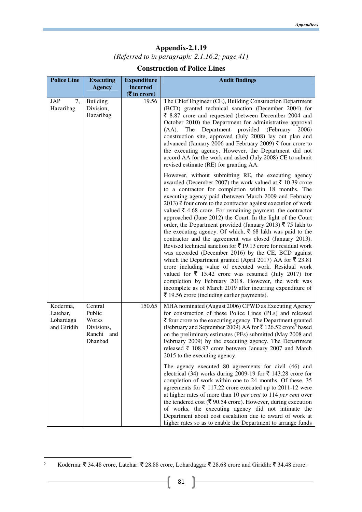#### **Appendix-2.1.19**  *(Referred to in paragraph: 2.1.16.2; page 41)*

| <b>Police Line</b>                               | <b>Executing</b>                                                  | <b>Expenditure</b>         | <b>Audit findings</b>                                                                                                                                                                                                                                                                                                                                                                                                                                                                                                                                                                                                                                                                                                                                                                                                                                                                                                                                                                                                                                                                                                               |
|--------------------------------------------------|-------------------------------------------------------------------|----------------------------|-------------------------------------------------------------------------------------------------------------------------------------------------------------------------------------------------------------------------------------------------------------------------------------------------------------------------------------------------------------------------------------------------------------------------------------------------------------------------------------------------------------------------------------------------------------------------------------------------------------------------------------------------------------------------------------------------------------------------------------------------------------------------------------------------------------------------------------------------------------------------------------------------------------------------------------------------------------------------------------------------------------------------------------------------------------------------------------------------------------------------------------|
|                                                  | <b>Agency</b>                                                     | incurred<br>$(5$ in crore) |                                                                                                                                                                                                                                                                                                                                                                                                                                                                                                                                                                                                                                                                                                                                                                                                                                                                                                                                                                                                                                                                                                                                     |
| <b>JAP</b><br>7,<br>Hazaribag                    | <b>Building</b><br>Division,<br>Hazaribag                         | 19.56                      | The Chief Engineer (CE), Building Construction Department<br>(BCD) granted technical sanction (December 2004) for<br>$\bar{\xi}$ 8.87 crore and requested (between December 2004 and<br>October 2010) the Department for administrative approval<br>The Department provided (February<br>$(AA)$ .<br>2006)<br>construction site, approved (July 2008) lay out plan and<br>advanced (January 2006 and February 2009) ₹ four crore to<br>the executing agency. However, the Department did not<br>accord AA for the work and asked (July 2008) CE to submit<br>revised estimate (RE) for granting AA.                                                                                                                                                                                                                                                                                                                                                                                                                                                                                                                                 |
|                                                  |                                                                   |                            | However, without submitting RE, the executing agency<br>awarded (December 2007) the work valued at ₹ 10.39 crore<br>to a contractor for completion within 18 months. The<br>executing agency paid (between March 2009 and February<br>2013) ₹ four crore to the contractor against execution of work<br>valued ₹ 4.68 crore. For remaining payment, the contractor<br>approached (June 2012) the Court. In the light of the Court<br>order, the Department provided (January 2013) ₹ 75 lakh to<br>the executing agency. Of which, $\bar{\xi}$ 68 lakh was paid to the<br>contractor and the agreement was closed (January 2013).<br>Revised technical sanction for ₹ 19.13 crore for residual work<br>was accorded (December 2016) by the CE, BCD against<br>which the Department granted (April 2017) AA for $\overline{\xi}$ 23.81<br>crore including value of executed work. Residual work<br>valued for $\bar{\xi}$ 15.42 crore was resumed (July 2017) for<br>completion by February 2018. However, the work was<br>incomplete as of March 2019 after incurring expenditure of<br>₹ 19.56 crore (including earlier payments). |
| Koderma,<br>Latehar,<br>Lohardaga<br>and Giridih | Central<br>Public<br>Works<br>Divisions,<br>Ranchi and<br>Dhanbad | 150.65                     | MHA nominated (August 2006) CPWD as Executing Agency<br>for construction of these Police Lines (PLs) and released<br>$\bar{\tau}$ four crore to the executing agency. The Department granted<br>(February and September 2009) AA for ₹126.52 crore <sup>5</sup> based<br>on the preliminary estimates (PEs) submitted (May 2008 and<br>February 2009) by the executing agency. The Department<br>released ₹ 108.97 crore between January 2007 and March<br>2015 to the executing agency.                                                                                                                                                                                                                                                                                                                                                                                                                                                                                                                                                                                                                                            |
|                                                  |                                                                   |                            | The agency executed 80 agreements for civil (46) and<br>electrical (34) works during 2009-19 for $\bar{\tau}$ 143.28 crore for<br>completion of work within one to 24 months. Of these, 35<br>agreements for $\bar{\tau}$ 117.22 crore executed up to 2011-12 were<br>at higher rates of more than 10 per cent to 114 per cent over<br>the tendered cost ( $\bar{\xi}$ 90.54 crore). However, during execution<br>of works, the executing agency did not intimate the<br>Department about cost escalation due to award of work at<br>higher rates so as to enable the Department to arrange funds                                                                                                                                                                                                                                                                                                                                                                                                                                                                                                                                   |

l

<sup>5</sup> Koderma:  $\bar{\mathfrak{c}}$  34.48 crore, Latehar:  $\bar{\mathfrak{c}}$  28.88 crore, Lohardagga:  $\bar{\mathfrak{c}}$  28.68 crore and Giridih:  $\bar{\mathfrak{c}}$  34.48 crore.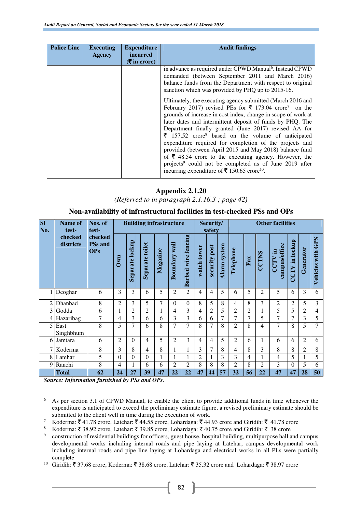| <b>Police Line</b> | <b>Executing</b> | <b>Expenditure</b>                               | <b>Audit findings</b>                                                                                                                                                                                                                                                                                                                                                                                                                                                                                                                                                                                                                                                                                                                                                                                                                                                                                                                                                                  |
|--------------------|------------------|--------------------------------------------------|----------------------------------------------------------------------------------------------------------------------------------------------------------------------------------------------------------------------------------------------------------------------------------------------------------------------------------------------------------------------------------------------------------------------------------------------------------------------------------------------------------------------------------------------------------------------------------------------------------------------------------------------------------------------------------------------------------------------------------------------------------------------------------------------------------------------------------------------------------------------------------------------------------------------------------------------------------------------------------------|
|                    | <b>Agency</b>    | <i>incurred</i><br>$(5 \text{ in } \text{core})$ |                                                                                                                                                                                                                                                                                                                                                                                                                                                                                                                                                                                                                                                                                                                                                                                                                                                                                                                                                                                        |
|                    |                  |                                                  | in advance as required under CPWD Manual <sup>6</sup> . Instead CPWD<br>demanded (between September 2011 and March 2016)<br>balance funds from the Department with respect to original<br>sanction which was provided by PHQ up to 2015-16.<br>Ultimately, the executing agency submitted (March 2016 and<br>February 2017) revised PEs for $\bar{\xi}$ 173.04 crore <sup>7</sup> on the<br>grounds of increase in cost index, change in scope of work at<br>later dates and intermittent deposit of funds by PHQ. The<br>Department finally granted (June 2017) revised AA for<br>$\bar{\xi}$ 157.52 crore <sup>8</sup> based on the volume of anticipated<br>expenditure required for completion of the projects and<br>provided (between April 2015 and May 2018) balance fund<br>of $\bar{\xi}$ 48.54 crore to the executing agency. However, the<br>projects <sup>9</sup> could not be completed as of June 2019 after<br>incurring expenditure of ₹ 150.65 crore <sup>10</sup> . |

*(Referred to in paragraph 2.1.16.3 ; page 42)*

**Non-availability of infrastructural facilities in test-checked PSs and OPs** 

| S1<br>No.      | <b>Name of</b><br>test- | Nos. of<br>test-                        |                |                 |                  | <b>Building infrastructure</b> |                  |                                  | Security/<br>safety |                  |                     | <b>Other facilities</b> |                |                |                              |                   |                |                         |
|----------------|-------------------------|-----------------------------------------|----------------|-----------------|------------------|--------------------------------|------------------|----------------------------------|---------------------|------------------|---------------------|-------------------------|----------------|----------------|------------------------------|-------------------|----------------|-------------------------|
|                | checked<br>districts    | checked<br><b>PSs</b> and<br><b>OPs</b> | $0$ wn         | Separate lockup | Separate toilet  | Magazine                       | wall<br>Boundary | fencing<br>wire<br><b>Barbed</b> | watch tower         | post<br>security | <b>Alarm system</b> | Telephone               | ${\rm Fax}$    | <b>CCTNS</b>   | campus/office<br>- 특<br>CCTV | in lockup<br>CCTV | Generator      | GPS<br>with<br>Vehicles |
| $\mathbf{1}$   | Deoghar                 | 6                                       | 3              | 3               | 6                | 5                              | $\overline{2}$   | 2                                | 4                   | 4                | 5                   | 6                       | 5              | $\overline{c}$ | 5                            | 6                 | 3              | 6                       |
| 2              | Dhanbad                 | 8                                       | $\overline{2}$ | 3               | 5                | 7                              | $\Omega$         | $\Omega$                         | 8                   | 5                | 8                   | 4                       | 8              | 3              | $\overline{2}$               | $\overline{2}$    | 5              | 3                       |
| $\overline{3}$ | Godda                   | 6                                       | 1              | $\overline{c}$  | $\overline{2}$   | $\mathbf{1}$                   | $\overline{4}$   | 3                                | $\overline{4}$      | $\overline{2}$   | 5                   | 2                       | $\overline{c}$ |                | 5                            | 5                 | $\overline{c}$ | $\overline{4}$          |
| $\overline{4}$ | Hazaribag               | 7                                       | $\overline{4}$ | 3               | 6                | 6                              | 3                | 3                                | 6                   | 6                | 7                   | 7                       | 7              | 5              | 7                            | $\overline{7}$    | 3              | 5                       |
| 5              | East<br>Singhbhum       | 8                                       | 5              | 7               | 6                | 8                              | $\overline{7}$   | 7                                | 8                   | $\overline{7}$   | 8                   | 2                       | 8              | 4              | 7                            | 8                 | 5              | 7                       |
| 6              | Jamtara                 | 6                                       | $\overline{2}$ | $\Omega$        | $\overline{4}$   | 5                              | $\overline{2}$   | 3                                | $\overline{4}$      | 4                | 5                   | $\overline{2}$          | 6              | 1              | 6                            | 6                 | $\overline{2}$ | 6                       |
|                | 7 Koderma               | 8                                       | 3              | 8               | $\overline{4}$   | 8                              |                  |                                  | 3                   | $\overline{7}$   | 8                   | 4                       | 8              | 3              | 8                            | 8                 | $\overline{2}$ | 8                       |
|                | 8 Latehar               | 5                                       | $\Omega$       | $\Omega$        | $\boldsymbol{0}$ | $\mathbf{1}$                   |                  |                                  | 2                   |                  | 3                   | 3                       | 4              |                | 4                            | 5                 |                | 5                       |
| $\overline{9}$ | Ranchi                  | 8                                       | 4              |                 | 6                | 6                              | $\mathfrak{D}$   | $\mathfrak{D}$                   | 8                   | 8                | 8                   | 2                       | 8              | $\overline{c}$ | 3                            | $\Omega$          | 5              | 6                       |
|                | <b>Total</b>            | 62                                      | 24             | 27              | 39               | 47                             | 22               | 22                               | 47                  | 44               | 57                  | 32                      | 56             | 22             | 47                           | 47                | 28             | 50                      |

*Source: Information furnished by PSs and OPs.*

l

<sup>6</sup> As per section 3.1 of CPWD Manual, to enable the client to provide additional funds in time whenever the expenditure is anticipated to exceed the preliminary estimate figure, a revised preliminary estimate should be submitted to the client well in time during the execution of work.

<sup>7</sup> Koderma: ₹41.78 crore, Latehar: ₹44.55 crore, Lohardaga: ₹44.93 crore and Giridih: ₹41.78 crore

<sup>8</sup> Koderma: ₹ 38.92 crore, Latehar: ₹ 39.85 crore, Lohardaga: ₹ 40.75 crore and Giridih: ₹ 38 crore

<sup>9</sup> construction of residential buildings for officers, guest house, hospital building, multipurpose hall and campus developmental works including internal roads and pipe laying at Latehar, campus developmental work including internal roads and pipe line laying at Lohardaga and electrical works in all PLs were partially complete

<sup>&</sup>lt;sup>10</sup> Giridih: ₹37.68 crore, Koderma: ₹38.68 crore, Latehar: ₹35.32 crore and Lohardaga: ₹38.97 crore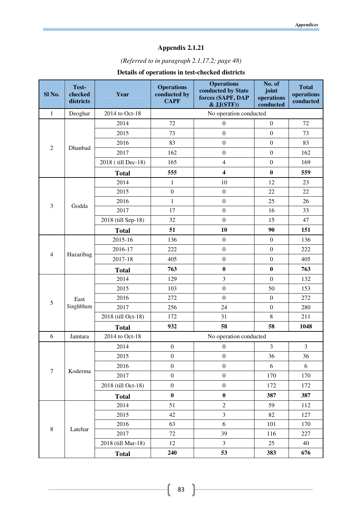# *(Referred to in paragraph 2.1.17.2; page 48)*

# **Details of operations in test-checked districts**

| Sl No.           | Test-<br>checked<br>districts | Year               | <b>Operations</b><br>conducted by<br><b>CAPF</b> | <b>Operations</b><br>conducted by State<br>forces (SAPF, DAP<br>$&$ JJ $(STF)$ | No. of<br>joint<br>operations<br>conducted | <b>Total</b><br>operations<br>conducted |  |  |  |
|------------------|-------------------------------|--------------------|--------------------------------------------------|--------------------------------------------------------------------------------|--------------------------------------------|-----------------------------------------|--|--|--|
| $\mathbf{1}$     | Deoghar                       | 2014 to Oct-18     |                                                  | No operation conducted                                                         |                                            |                                         |  |  |  |
|                  |                               | 2014               | 72                                               | $\boldsymbol{0}$                                                               | $\mathbf{0}$                               | 72                                      |  |  |  |
|                  |                               | 2015               | 73                                               | $\boldsymbol{0}$                                                               | $\boldsymbol{0}$                           | 73                                      |  |  |  |
| $\overline{2}$   |                               | 2016               | 83                                               | $\boldsymbol{0}$                                                               | $\boldsymbol{0}$                           | 83                                      |  |  |  |
|                  | Dhanbad                       | 2017               | 162                                              | $\boldsymbol{0}$                                                               | $\boldsymbol{0}$                           | 162                                     |  |  |  |
|                  |                               | 2018 (till Dec-18) | 165                                              | $\overline{4}$                                                                 | $\boldsymbol{0}$                           | 169                                     |  |  |  |
|                  |                               | <b>Total</b>       | 555                                              | $\overline{\mathbf{4}}$                                                        | $\bf{0}$                                   | 559                                     |  |  |  |
|                  |                               | 2014               | $\mathbf{1}$                                     | 10                                                                             | 12                                         | 23                                      |  |  |  |
|                  |                               | 2015               | $\boldsymbol{0}$                                 | $\boldsymbol{0}$                                                               | 22                                         | 22                                      |  |  |  |
|                  |                               | 2016               | $\mathbf{1}$                                     | $\boldsymbol{0}$                                                               | 25                                         | 26                                      |  |  |  |
| 3                | Godda                         | 2017               | 17                                               | $\boldsymbol{0}$                                                               | 16                                         | 33                                      |  |  |  |
|                  |                               | 2018 (till Sep-18) | 32                                               | $\boldsymbol{0}$                                                               | 15                                         | 47                                      |  |  |  |
|                  |                               | <b>Total</b>       | 51                                               | 10                                                                             | 90                                         | 151                                     |  |  |  |
|                  | Hazaribag                     | 2015-16            | 136                                              | $\boldsymbol{0}$                                                               | $\boldsymbol{0}$                           | 136                                     |  |  |  |
|                  |                               | 2016-17            | 222                                              | $\boldsymbol{0}$                                                               | $\boldsymbol{0}$                           | 222                                     |  |  |  |
| $\overline{4}$   |                               | 2017-18            | 405                                              | $\boldsymbol{0}$                                                               | $\boldsymbol{0}$                           | 405                                     |  |  |  |
|                  |                               | <b>Total</b>       | 763                                              | $\bf{0}$                                                                       | $\bf{0}$                                   | 763                                     |  |  |  |
|                  |                               | 2014               | 129                                              | $\mathfrak{Z}$                                                                 | $\boldsymbol{0}$                           | 132                                     |  |  |  |
|                  |                               | 2015               | 103                                              | $\boldsymbol{0}$                                                               | 50                                         | 153                                     |  |  |  |
| 5                | East                          | 2016               | 272                                              | $\boldsymbol{0}$                                                               | $\boldsymbol{0}$                           | 272                                     |  |  |  |
|                  | Singhbhum                     | 2017               | 256                                              | 24                                                                             | $\boldsymbol{0}$                           | 280                                     |  |  |  |
|                  |                               | 2018 (till Oct-18) | 172                                              | 31                                                                             | 8                                          | 211                                     |  |  |  |
|                  |                               | <b>Total</b>       | 932                                              | 58                                                                             | 58                                         | 1048                                    |  |  |  |
| 6                | Jamtara                       | 2014 to Oct-18     |                                                  | No operation conducted                                                         |                                            |                                         |  |  |  |
|                  |                               | 2014               | $\boldsymbol{0}$                                 | $\boldsymbol{0}$                                                               | 3                                          | $\mathfrak{Z}$                          |  |  |  |
|                  |                               | 2015               | $\boldsymbol{0}$                                 | $\boldsymbol{0}$                                                               | 36                                         | 36                                      |  |  |  |
|                  |                               | 2016               | $\boldsymbol{0}$                                 | $\boldsymbol{0}$                                                               | 6                                          | 6                                       |  |  |  |
| $\boldsymbol{7}$ | Koderma                       | 2017               | $\boldsymbol{0}$                                 | $\boldsymbol{0}$                                                               | 170                                        | 170                                     |  |  |  |
|                  |                               | 2018 (till Oct-18) | $\boldsymbol{0}$                                 | $\boldsymbol{0}$                                                               | 172                                        | 172                                     |  |  |  |
|                  |                               | <b>Total</b>       | $\bf{0}$                                         | $\bf{0}$                                                                       | 387                                        | 387                                     |  |  |  |
|                  |                               | 2014               | 51                                               | $\sqrt{2}$                                                                     | 59                                         | 112                                     |  |  |  |
|                  |                               | 2015               | 42                                               | 3                                                                              | 82                                         | 127                                     |  |  |  |
|                  |                               | 2016               | 63                                               | 6                                                                              | 101                                        | 170                                     |  |  |  |
| $\,8\,$          | Latehar                       | 2017               | 72                                               | 39                                                                             | 116                                        | 227                                     |  |  |  |
|                  |                               | 2018 (till Mar-18) | 12                                               | 3                                                                              | 25                                         | 40                                      |  |  |  |
|                  |                               | <b>Total</b>       | 240                                              | 53                                                                             | 383                                        | 676                                     |  |  |  |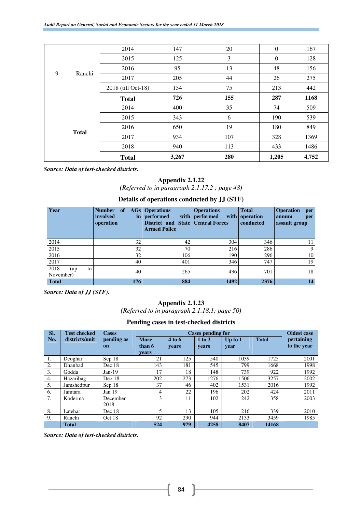|   |              | 2014               | 147   | 20  | $\overline{0}$ | 167   |
|---|--------------|--------------------|-------|-----|----------------|-------|
|   |              | 2015               | 125   | 3   | $\overline{0}$ | 128   |
| 9 |              | 2016               | 95    | 13  | 48             | 156   |
|   | Ranchi       | 2017               | 205   | 44  | 26             | 275   |
|   |              | 2018 (till Oct-18) | 154   | 75  | 213            | 442   |
|   |              | <b>Total</b>       | 726   | 155 | 287            | 1168  |
|   |              | 2014               | 400   | 35  | 74             | 509   |
|   |              | 2015               | 343   | 6   | 190            | 539   |
|   |              | 2016               | 650   | 19  | 180            | 849   |
|   | <b>Total</b> | 2017               | 934   | 107 | 328            | 1369  |
|   |              | 2018               | 940   | 113 | 433            | 1486  |
|   |              | <b>Total</b>       | 3,267 | 280 | 1,205          | 4,752 |

*Source: Data of test-checked districts.*

#### **Appendix 2.1.22**

*(Referred to in paragraph 2.1.17.2 ; page 48)* 

#### **Details of operations conducted by JJ (STF)**

| Year                           | <b>Number</b><br><sub>of</sub><br>involved<br>operation | <b>AGs</b>   Operations<br>in   performed<br><b>District and State Central Forces</b><br><b>Armed Police</b> | <b>Operations</b><br>with   performed | <b>Total</b><br>with operation<br>conducted | <b>Operation</b><br>per<br>annum<br>per<br>assault group |
|--------------------------------|---------------------------------------------------------|--------------------------------------------------------------------------------------------------------------|---------------------------------------|---------------------------------------------|----------------------------------------------------------|
| 2014                           | 32                                                      | 42                                                                                                           | 304                                   | 346                                         | 11                                                       |
| 2015                           | 32                                                      | 70                                                                                                           | 216                                   | 286                                         | 9                                                        |
| 2016                           | 32                                                      | 106                                                                                                          | 190                                   | 296                                         | 10                                                       |
| 2017                           | 40                                                      | 401                                                                                                          | 346                                   | 747                                         | 19                                                       |
| 2018<br>to<br>(up<br>November) | 40                                                      | 265                                                                                                          | 436                                   | 701                                         | 18                                                       |
| <b>Total</b>                   | 176                                                     | 884                                                                                                          | 1492                                  | 2376                                        | 14                                                       |

*Source: Data of JJ (STF).*

#### **Appendix 2.1.23**

*(Referred to in paragraph 2.1.18.1; page 50)*

#### **Pending cases in test-checked districts**

| SI. | <b>Test checked</b> | <b>Cases</b>                |                                | <b>Cases pending for</b> |                     |                   |              |                           |  |  |  |  |  |  |
|-----|---------------------|-----------------------------|--------------------------------|--------------------------|---------------------|-------------------|--------------|---------------------------|--|--|--|--|--|--|
| No. | districts/unit      | pending as<br><sub>on</sub> | <b>More</b><br>than 6<br>vears | 4 to 6<br>years          | $1$ to $3$<br>years | Up to $1$<br>year | <b>Total</b> | pertaining<br>to the year |  |  |  |  |  |  |
| 1.  | Deoghar             | Sep 18                      | 21                             | 125                      | 540                 | 1039              | 1725         | 2001                      |  |  |  |  |  |  |
| 2.  | Dhanbad             | Dec 18                      | 143                            | 181                      | 545                 | 799               | 1668         | 1998                      |  |  |  |  |  |  |
| 3.  | Godda               | $Jan-19$                    | 17                             | 18                       | 148                 | 739               | 922          | 1992                      |  |  |  |  |  |  |
| 4.  | Hazaribag           | $Dec-18$                    | 202                            | 273                      | 1276                | 1506              | 3257         | 2002                      |  |  |  |  |  |  |
| 5.  | Jamshedpur          | Sep 18                      | 37                             | 46                       | 402                 | 1531              | 2016         | 1992                      |  |  |  |  |  |  |
| 6.  | Jamtara             | Jan $19$                    | 4                              | 22                       | 196                 | 202               | 424          | 2011                      |  |  |  |  |  |  |
| 7.  | Koderma             | December<br>2018            | 3                              | 11                       | 102                 | 242               | 358          | 2003                      |  |  |  |  |  |  |
| 8.  | Latehar             | Dec 18                      | $\overline{\phantom{0}}$       | 13                       | 105                 | 216               | 339          | 2010                      |  |  |  |  |  |  |
| 9.  | Ranchi              | Oct 18                      | 92                             | 290                      | 944                 | 2133              | 3459         | 1985                      |  |  |  |  |  |  |
|     | <b>Total</b>        |                             | 524                            | 979                      | 4258                | 8407              | 14168        |                           |  |  |  |  |  |  |

*Source: Data of test-checked districts.*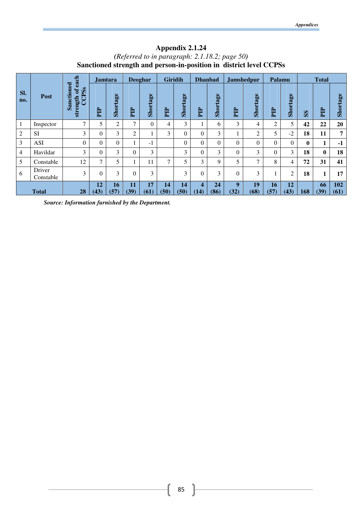# **Appendix 2.1.24**  *(Referred to in paragraph: 2.1.18.2; page 50)*  **Sanctioned strength and person-in-position in district level CCPSs**

|                |                     | each                                            | <b>Jamtara</b> |            |                | <b>Deoghar</b> | <b>Giridih</b> |                | <b>Dhanbad</b>           |            |                | <b>Jamshedpur</b> | Palamu     |                |              | <b>Total</b> |             |
|----------------|---------------------|-------------------------------------------------|----------------|------------|----------------|----------------|----------------|----------------|--------------------------|------------|----------------|-------------------|------------|----------------|--------------|--------------|-------------|
| SI.<br>no.     | Post                | Sanctioned<br>CPSs<br>$\sigma$<br>strength<br>Õ | Ê              | Shortage   | 白              | Shortage       | Ê              | Shortage       | E                        | Shortage   | <b>E</b>       | Shortage          | 白          | Shortage       | $\mathbf{S}$ | E            | Shortage    |
| 1              | Inspector           | $\mathcal{I}$                                   | 5              | 2          | $\overline{ }$ | $\Omega$       | 4              | 3              | 1                        | 6          | 3              | 4                 | 2          | 5              | 42           | 22           | 20          |
| $\overline{2}$ | <b>SI</b>           | 3                                               | $\Omega$       | 3          | 2              |                | 3              | $\overline{0}$ | $\mathbf{0}$             | 3          |                | 2                 | 5          | $-2$           | 18           | 11           | 7           |
| 3              | <b>ASI</b>          | $\theta$                                        | $\theta$       | $\Omega$   |                | $-1$           |                | $\overline{0}$ | $\mathbf{0}$             | 0          | $\overline{0}$ | $\theta$          | $\theta$   | $\theta$       | $\bf{0}$     | 1            | $-1$        |
| $\overline{4}$ | Havildar            | 3                                               | $\theta$       | 3          | $\Omega$       | 3              |                | 3              | $\theta$                 | 3          | 0              | 3                 | 0          | 3              | 18           | $\bf{0}$     | 18          |
| 5              | Constable           | 12                                              | 7              | 5          |                | 11             | 7              | 5              | 3                        | 9          | 5              | $\mathcal{I}$     | 8          | $\overline{4}$ | 72           | 31           | 41          |
| 6              | Driver<br>Constable | 3                                               | $\Omega$       | 3          | $\Omega$       | 3              |                | 3              | $\theta$                 | 3          | $\theta$       | 3                 |            | $\overline{2}$ | 18           | 1            | 17          |
|                | <b>Total</b>        | 28                                              | 12<br>(43)     | 16<br>(57) | 11<br>(39)     | 17<br>(61)     | 14<br>(50)     | 14<br>(50)     | $\boldsymbol{4}$<br>(14) | 24<br>(86) | 9<br>(32)      | 19<br>(68)        | 16<br>(57) | 12<br>(43)     | 168          | 66<br>(39)   | 102<br>(61) |

*Source: Information furnished by the Department.*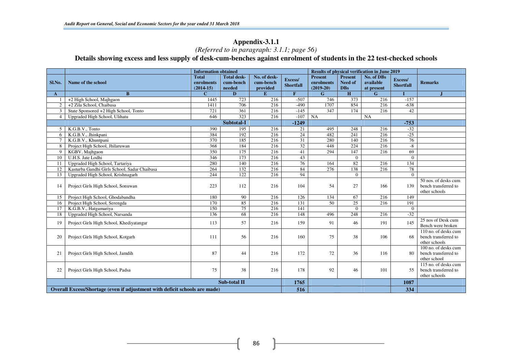# **Appendix-3.1.1**  *(Referred to in paragraph: 3.1.1; page 56)*

**Details showing excess and less supply of desk-cum-benches against enrolment of students in the 22 test-checked schools** 

|                |                                                                            | <b>Information obtained</b>               |                                           |                                       | <b>Results of physical verification in June 2019</b> |                                             |                                                |                                       |                             |                                                               |
|----------------|----------------------------------------------------------------------------|-------------------------------------------|-------------------------------------------|---------------------------------------|------------------------------------------------------|---------------------------------------------|------------------------------------------------|---------------------------------------|-----------------------------|---------------------------------------------------------------|
| Sl.No.         | Name of the school                                                         | <b>Total</b><br>enrolments<br>$(2014-15)$ | <b>Total desk-</b><br>cum-bench<br>needed | No. of desk-<br>cum-bench<br>provided | Excess/<br><b>Shortfall</b>                          | <b>Present</b><br>enrolments<br>$(2019-20)$ | <b>Present</b><br><b>Need of</b><br><b>DBs</b> | No. of DBs<br>available<br>at present | Excess/<br><b>Shortfall</b> | <b>Remarks</b>                                                |
| A              | $\bf{B}$                                                                   | $\mathbf C$                               | D                                         | E                                     | $\mathbf{F}$                                         | G                                           | H                                              | G.                                    |                             |                                                               |
|                | +2 High School, Majhgaon                                                   | 1445                                      | 723                                       | 216                                   | $-507$                                               | 746                                         | 373                                            | 216                                   | $-157$                      |                                                               |
| $\overline{2}$ | +2 Zila School, Chaibasa                                                   | 1411                                      | 706                                       | 216                                   | $-490$                                               | 1707                                        | 854                                            | 216                                   | $-638$                      |                                                               |
| 3              | State Sponsored +2 High School, Tonto                                      | 721                                       | 361                                       | 216                                   | $-145$                                               | 347                                         | 174                                            | 216                                   | 42                          |                                                               |
| $\overline{4}$ | Upgraded High School, Ulihatu                                              | 646                                       | 323                                       | 216                                   | $-107$                                               | <b>NA</b>                                   |                                                | <b>NA</b>                             |                             |                                                               |
|                |                                                                            |                                           | Subtotal-I                                |                                       | $-1249$                                              |                                             |                                                |                                       | $-753$                      |                                                               |
| 5              | K.G.B.V., Tonto                                                            | 390                                       | 195                                       | 216                                   | 21                                                   | 495                                         | 248                                            | 216                                   | $-32$                       |                                                               |
| 6              | K.G.B.V., Jhinkpani                                                        | 384                                       | 192                                       | 216                                   | 24                                                   | 482                                         | 241                                            | 216                                   | $-25$                       |                                                               |
| 7              | K.G.B.V., Khuntpani                                                        | 370                                       | 185                                       | 216                                   | 31                                                   | 280                                         | 140                                            | 216                                   | 76                          |                                                               |
| 8              | Project High School, Jhilaruwan                                            | 368                                       | 184                                       | 216                                   | 32                                                   | 448                                         | 224                                            | 216                                   | $-8$                        |                                                               |
| 9              | KGBV, Majhgaon                                                             | 350                                       | 175                                       | 216                                   | 41                                                   | 294                                         | 147                                            | 216                                   | 69                          |                                                               |
| 10             | U.H.S. Jate Lodhi                                                          | 346                                       | 173                                       | 216                                   | 43                                                   |                                             | $\theta$                                       |                                       | $\Omega$                    |                                                               |
| 11             | Upgraded High School, Tartariya                                            | 280                                       | 140                                       | 216                                   | 76                                                   | 164                                         | 82                                             | 216                                   | 134                         |                                                               |
| 12             | Kasturba Gandhi Girls School, Sadar Chaibasa                               | 264                                       | 132                                       | 216                                   | 84                                                   | 276                                         | 138                                            | 216                                   | 78                          |                                                               |
| 13             | Upgraded High School, Krishnagarh                                          | 244                                       | 122                                       | 216                                   | 94                                                   |                                             | $\theta$                                       |                                       | $\Omega$                    |                                                               |
| 14             | Project Girls High School, Sonuwan                                         | 223                                       | 112                                       | 216                                   | 104                                                  | 54                                          | 27                                             | 166                                   | 139                         | 50 nos. of desks cum<br>bench transferred to<br>other schools |
| 15             | Project High School, Ghodabandha                                           | 180                                       | 90                                        | 216                                   | 126                                                  | 134                                         | 67                                             | 216                                   | 149                         |                                                               |
| 16             | Project High School, Serengda                                              | 170                                       | 85                                        | 216                                   | 131                                                  | $\overline{50}$                             | $\overline{25}$                                | 216                                   | 191                         |                                                               |
| 17             | K.G.B.V., Hatgamariya                                                      | 150                                       | 75                                        | 216                                   | 141                                                  |                                             | $\theta$                                       |                                       | $\Omega$                    |                                                               |
| 18             | Upgraded High School, Narsanda                                             | 136                                       | 68                                        | 216                                   | 148                                                  | 496                                         | 248                                            | 216                                   | $-32$                       |                                                               |
| 19             | Project Girls High School, Khediyatangar                                   | 113                                       | 57                                        | 216                                   | 159                                                  | 91                                          | 46                                             | 191                                   | 145                         | 25 nos of Desk cum<br>Bench were broken                       |
| 20             | Project Girls High School, Kotgarh                                         | 111                                       | 56                                        | 216                                   | 160                                                  | 75                                          | 38                                             | 106                                   | 68                          | 110 no. of desks cum<br>bench transferred to<br>other schools |
| 21             | Project Girls High School, Jamdih                                          | 87                                        | 44                                        | 216                                   | 172                                                  | 72                                          | 36                                             | 116                                   | 80                          | 100 no. of desks cum<br>bench transferred to<br>other school  |
| 22             | Project Girls High School, Padsa                                           | 75                                        | 38                                        | 216                                   | 178                                                  | 92                                          | 46                                             | 101                                   | 55                          | 115 no. of desks cum<br>bench transferred to<br>other schools |
|                |                                                                            | 1765                                      |                                           |                                       |                                                      | 1087                                        |                                                |                                       |                             |                                                               |
|                | Overall Excess/Shortage (even if adjustment with deficit schools are made) | 516                                       |                                           |                                       |                                                      | 334                                         |                                                |                                       |                             |                                                               |